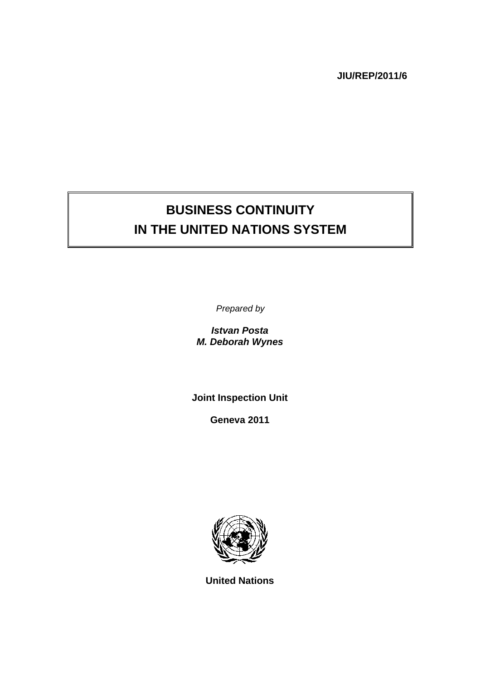**JIU/REP/2011/6** 

# **BUSINESS CONTINUITY IN THE UNITED NATIONS SYSTEM**

*Prepared by* 

*Istvan Posta M. Deborah Wynes* 

**Joint Inspection Unit** 

**Geneva 2011** 



**United Nations**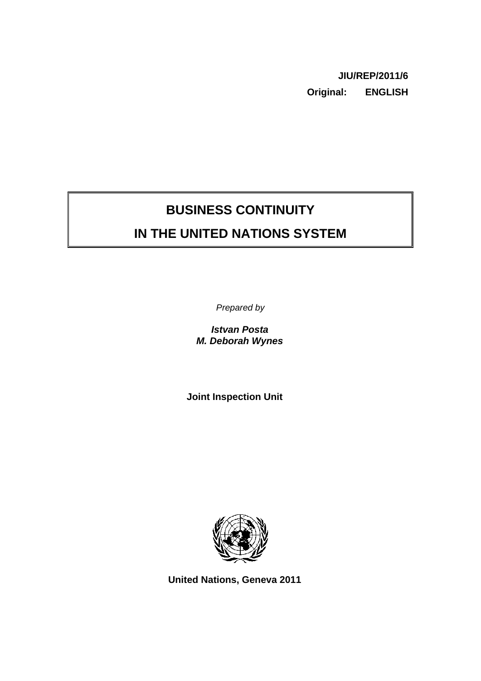**JIU/REP/2011/6 Original: ENGLISH** 

## **BUSINESS CONTINUITY**

## **IN THE UNITED NATIONS SYSTEM**

*Prepared by* 

*Istvan Posta M. Deborah Wynes*

**Joint Inspection Unit** 



**United Nations, Geneva 2011**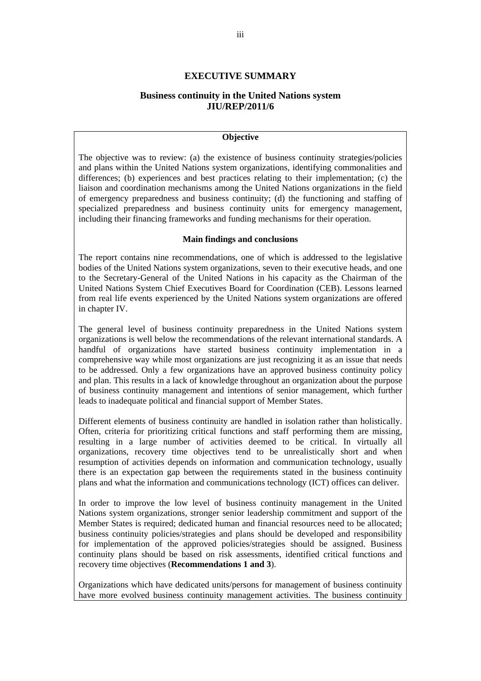## **EXECUTIVE SUMMARY**

## **Business continuity in the United Nations system JIU/REP/2011/6**

## **Objective**

The objective was to review: (a) the existence of business continuity strategies/policies and plans within the United Nations system organizations, identifying commonalities and differences; (b) experiences and best practices relating to their implementation; (c) the liaison and coordination mechanisms among the United Nations organizations in the field of emergency preparedness and business continuity; (d) the functioning and staffing of specialized preparedness and business continuity units for emergency management, including their financing frameworks and funding mechanisms for their operation.

#### **Main findings and conclusions**

The report contains nine recommendations, one of which is addressed to the legislative bodies of the United Nations system organizations, seven to their executive heads, and one to the Secretary-General of the United Nations in his capacity as the Chairman of the United Nations System Chief Executives Board for Coordination (CEB). Lessons learned from real life events experienced by the United Nations system organizations are offered in chapter IV.

The general level of business continuity preparedness in the United Nations system organizations is well below the recommendations of the relevant international standards. A handful of organizations have started business continuity implementation in a comprehensive way while most organizations are just recognizing it as an issue that needs to be addressed. Only a few organizations have an approved business continuity policy and plan. This results in a lack of knowledge throughout an organization about the purpose of business continuity management and intentions of senior management, which further leads to inadequate political and financial support of Member States.

Different elements of business continuity are handled in isolation rather than holistically. Often, criteria for prioritizing critical functions and staff performing them are missing, resulting in a large number of activities deemed to be critical. In virtually all organizations, recovery time objectives tend to be unrealistically short and when resumption of activities depends on information and communication technology, usually there is an expectation gap between the requirements stated in the business continuity plans and what the information and communications technology (ICT) offices can deliver.

In order to improve the low level of business continuity management in the United Nations system organizations, stronger senior leadership commitment and support of the Member States is required; dedicated human and financial resources need to be allocated; business continuity policies/strategies and plans should be developed and responsibility for implementation of the approved policies/strategies should be assigned. Business continuity plans should be based on risk assessments, identified critical functions and recovery time objectives (**Recommendations 1 and 3**).

Organizations which have dedicated units/persons for management of business continuity have more evolved business continuity management activities. The business continuity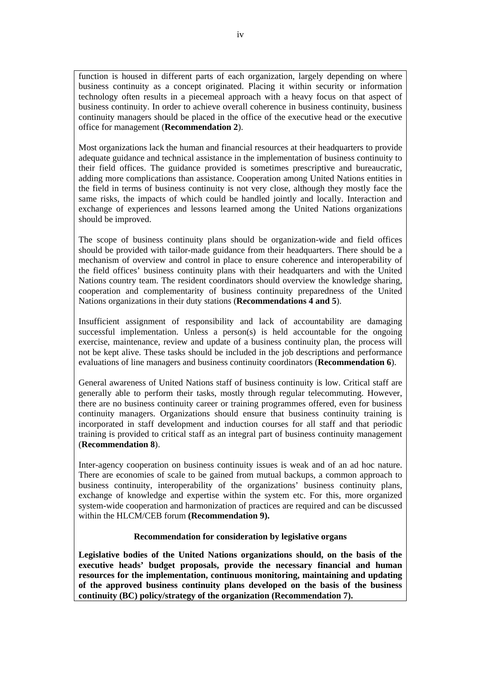function is housed in different parts of each organization, largely depending on where business continuity as a concept originated. Placing it within security or information technology often results in a piecemeal approach with a heavy focus on that aspect of business continuity. In order to achieve overall coherence in business continuity, business continuity managers should be placed in the office of the executive head or the executive office for management (**Recommendation 2**).

Most organizations lack the human and financial resources at their headquarters to provide adequate guidance and technical assistance in the implementation of business continuity to their field offices. The guidance provided is sometimes prescriptive and bureaucratic, adding more complications than assistance. Cooperation among United Nations entities in the field in terms of business continuity is not very close, although they mostly face the same risks, the impacts of which could be handled jointly and locally. Interaction and exchange of experiences and lessons learned among the United Nations organizations should be improved.

The scope of business continuity plans should be organization-wide and field offices should be provided with tailor-made guidance from their headquarters. There should be a mechanism of overview and control in place to ensure coherence and interoperability of the field offices' business continuity plans with their headquarters and with the United Nations country team. The resident coordinators should overview the knowledge sharing, cooperation and complementarity of business continuity preparedness of the United Nations organizations in their duty stations (**Recommendations 4 and 5**).

Insufficient assignment of responsibility and lack of accountability are damaging successful implementation. Unless a person(s) is held accountable for the ongoing exercise, maintenance, review and update of a business continuity plan, the process will not be kept alive. These tasks should be included in the job descriptions and performance evaluations of line managers and business continuity coordinators (**Recommendation 6**).

General awareness of United Nations staff of business continuity is low. Critical staff are generally able to perform their tasks, mostly through regular telecommuting. However, there are no business continuity career or training programmes offered, even for business continuity managers. Organizations should ensure that business continuity training is incorporated in staff development and induction courses for all staff and that periodic training is provided to critical staff as an integral part of business continuity management (**Recommendation 8**).

Inter-agency cooperation on business continuity issues is weak and of an ad hoc nature. There are economies of scale to be gained from mutual backups, a common approach to business continuity, interoperability of the organizations' business continuity plans, exchange of knowledge and expertise within the system etc. For this, more organized system-wide cooperation and harmonization of practices are required and can be discussed within the HLCM/CEB forum **(Recommendation 9).**

## **Recommendation for consideration by legislative organs**

**Legislative bodies of the United Nations organizations should, on the basis of the executive heads' budget proposals, provide the necessary financial and human resources for the implementation, continuous monitoring, maintaining and updating of the approved business continuity plans developed on the basis of the business continuity (BC) policy/strategy of the organization (Recommendation 7).**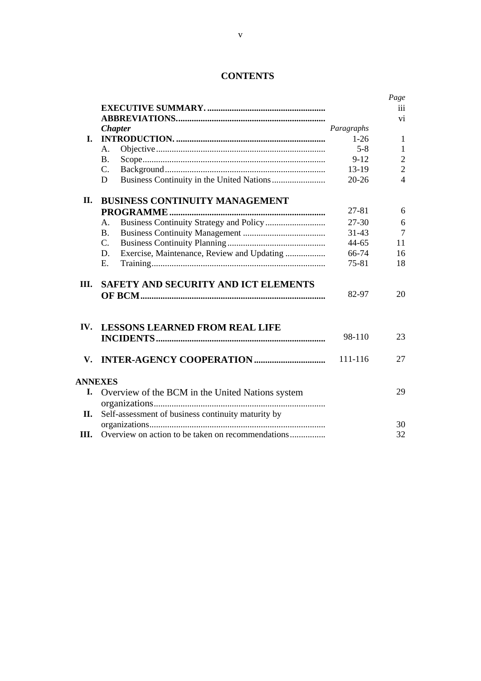|                          |                                                    |            | Page           |
|--------------------------|----------------------------------------------------|------------|----------------|
|                          |                                                    |            | iii            |
|                          |                                                    |            | vi             |
|                          | <b>Chapter</b>                                     | Paragraphs |                |
| L.                       |                                                    | $1-26$     | $\mathbf{1}$   |
|                          | А.                                                 | $5 - 8$    | $\mathbf{1}$   |
|                          | <b>B.</b>                                          | $9 - 12$   | $\overline{2}$ |
|                          | C.                                                 | 13-19      | $\overline{2}$ |
|                          | D                                                  | $20 - 26$  | $\overline{4}$ |
| П.                       | <b>BUSINESS CONTINUITY MANAGEMENT</b>              |            |                |
|                          |                                                    | 27-81      | 6              |
|                          | A.                                                 | 27-30      | 6              |
|                          | <b>B.</b>                                          | $31 - 43$  | $\overline{7}$ |
|                          | C.                                                 | 44-65      | 11             |
|                          | Exercise, Maintenance, Review and Updating<br>D.   | 66-74      | 16             |
|                          | E.                                                 | 75-81      | 18             |
| Ш.                       | SAFETY AND SECURITY AND ICT ELEMENTS               |            |                |
|                          |                                                    | 82-97      | 20             |
| $\mathbf{IV}_{\text{-}}$ | <b>LESSONS LEARNED FROM REAL LIFE</b>              |            |                |
|                          |                                                    | 98-110     | 23             |
| V.                       | <b>INTER-AGENCY COOPERATION </b>                   | 111-116    | 27             |
|                          | <b>ANNEXES</b>                                     |            |                |
| I.                       | Overview of the BCM in the United Nations system   |            | 29             |
|                          |                                                    |            |                |
| Н.                       | Self-assessment of business continuity maturity by |            | 30             |
| Ш.                       | Overview on action to be taken on recommendations  |            | 32             |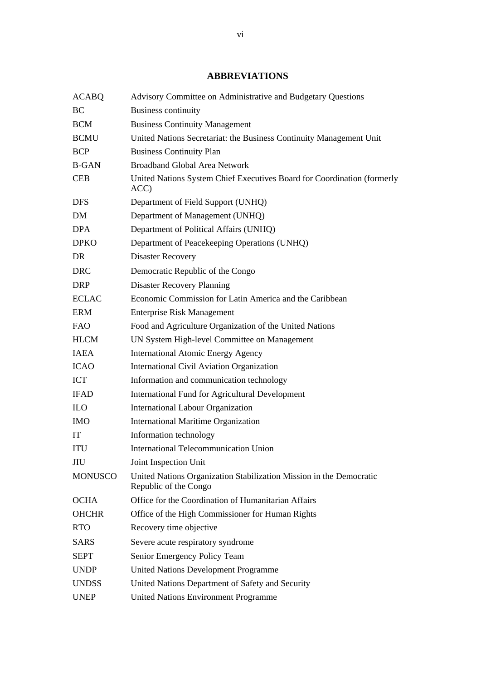## **ABBREVIATIONS**

| <b>ACABQ</b>   | Advisory Committee on Administrative and Budgetary Questions                                 |
|----------------|----------------------------------------------------------------------------------------------|
| BC             | <b>Business continuity</b>                                                                   |
| <b>BCM</b>     | <b>Business Continuity Management</b>                                                        |
| <b>BCMU</b>    | United Nations Secretariat: the Business Continuity Management Unit                          |
| <b>BCP</b>     | <b>Business Continuity Plan</b>                                                              |
| <b>B-GAN</b>   | <b>Broadband Global Area Network</b>                                                         |
| <b>CEB</b>     | United Nations System Chief Executives Board for Coordination (formerly<br>ACC)              |
| <b>DFS</b>     | Department of Field Support (UNHQ)                                                           |
| DM             | Department of Management (UNHQ)                                                              |
| <b>DPA</b>     | Department of Political Affairs (UNHQ)                                                       |
| <b>DPKO</b>    | Department of Peacekeeping Operations (UNHQ)                                                 |
| DR             | <b>Disaster Recovery</b>                                                                     |
| <b>DRC</b>     | Democratic Republic of the Congo                                                             |
| <b>DRP</b>     | <b>Disaster Recovery Planning</b>                                                            |
| <b>ECLAC</b>   | Economic Commission for Latin America and the Caribbean                                      |
| <b>ERM</b>     | <b>Enterprise Risk Management</b>                                                            |
| <b>FAO</b>     | Food and Agriculture Organization of the United Nations                                      |
| <b>HLCM</b>    | UN System High-level Committee on Management                                                 |
| <b>IAEA</b>    | <b>International Atomic Energy Agency</b>                                                    |
| <b>ICAO</b>    | <b>International Civil Aviation Organization</b>                                             |
| <b>ICT</b>     | Information and communication technology                                                     |
| <b>IFAD</b>    | <b>International Fund for Agricultural Development</b>                                       |
| <b>ILO</b>     | <b>International Labour Organization</b>                                                     |
| <b>IMO</b>     | <b>International Maritime Organization</b>                                                   |
| IT             | Information technology                                                                       |
| <b>ITU</b>     | <b>International Telecommunication Union</b>                                                 |
| JIU            | Joint Inspection Unit                                                                        |
| <b>MONUSCO</b> | United Nations Organization Stabilization Mission in the Democratic<br>Republic of the Congo |
| <b>OCHA</b>    | Office for the Coordination of Humanitarian Affairs                                          |
| <b>OHCHR</b>   | Office of the High Commissioner for Human Rights                                             |
| <b>RTO</b>     | Recovery time objective                                                                      |
| <b>SARS</b>    | Severe acute respiratory syndrome                                                            |
| <b>SEPT</b>    | Senior Emergency Policy Team                                                                 |
| <b>UNDP</b>    | <b>United Nations Development Programme</b>                                                  |
| <b>UNDSS</b>   | United Nations Department of Safety and Security                                             |
| <b>UNEP</b>    | <b>United Nations Environment Programme</b>                                                  |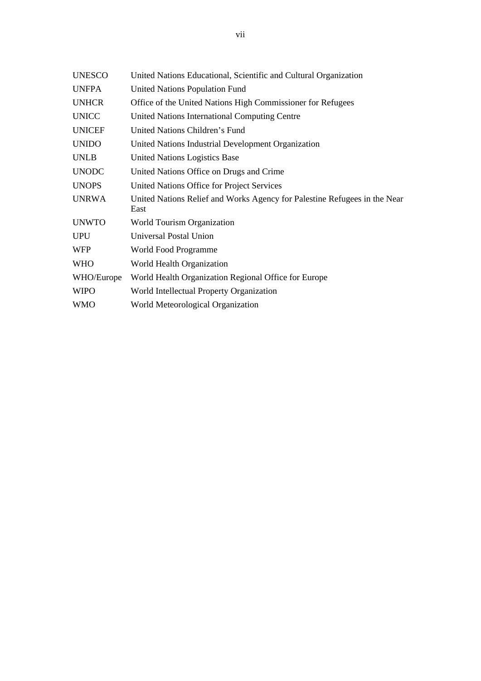| <b>UNESCO</b> | United Nations Educational, Scientific and Cultural Organization                  |
|---------------|-----------------------------------------------------------------------------------|
| <b>UNFPA</b>  | United Nations Population Fund                                                    |
| <b>UNHCR</b>  | Office of the United Nations High Commissioner for Refugees                       |
| <b>UNICC</b>  | United Nations International Computing Centre                                     |
| <b>UNICEF</b> | United Nations Children's Fund                                                    |
| <b>UNIDO</b>  | United Nations Industrial Development Organization                                |
| <b>UNLB</b>   | <b>United Nations Logistics Base</b>                                              |
| <b>UNODC</b>  | United Nations Office on Drugs and Crime                                          |
| <b>UNOPS</b>  | United Nations Office for Project Services                                        |
| <b>UNRWA</b>  | United Nations Relief and Works Agency for Palestine Refugees in the Near<br>East |
| <b>UNWTO</b>  | World Tourism Organization                                                        |
| <b>UPU</b>    | Universal Postal Union                                                            |
| <b>WFP</b>    | World Food Programme                                                              |
| <b>WHO</b>    | World Health Organization                                                         |
| WHO/Europe    | World Health Organization Regional Office for Europe                              |
| <b>WIPO</b>   | World Intellectual Property Organization                                          |
| <b>WMO</b>    | World Meteorological Organization                                                 |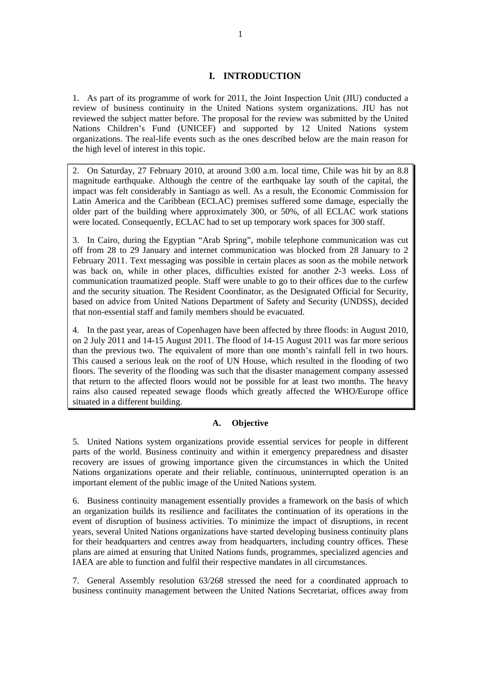## **I. INTRODUCTION**

1. As part of its programme of work for 2011, the Joint Inspection Unit (JIU) conducted a review of business continuity in the United Nations system organizations. JIU has not reviewed the subject matter before. The proposal for the review was submitted by the United Nations Children's Fund (UNICEF) and supported by 12 United Nations system organizations. The real-life events such as the ones described below are the main reason for the high level of interest in this topic.

2. On Saturday, 27 February 2010, at around 3:00 a.m. local time, Chile was hit by an 8.8 magnitude earthquake. Although the centre of the earthquake lay south of the capital, the impact was felt considerably in Santiago as well. As a result, the Economic Commission for Latin America and the Caribbean (ECLAC) premises suffered some damage, especially the older part of the building where approximately 300, or 50%, of all ECLAC work stations were located. Consequently, ECLAC had to set up temporary work spaces for 300 staff.

3. In Cairo, during the Egyptian "Arab Spring", mobile telephone communication was cut off from 28 to 29 January and internet communication was blocked from 28 January to 2 February 2011. Text messaging was possible in certain places as soon as the mobile network was back on, while in other places, difficulties existed for another 2-3 weeks. Loss of communication traumatized people. Staff were unable to go to their offices due to the curfew and the security situation. The Resident Coordinator, as the Designated Official for Security, based on advice from United Nations Department of Safety and Security (UNDSS), decided that non-essential staff and family members should be evacuated.

4. In the past year, areas of Copenhagen have been affected by three floods: in August 2010, on 2 July 2011 and 14-15 August 2011. The flood of 14-15 August 2011 was far more serious than the previous two. The equivalent of more than one month's rainfall fell in two hours. This caused a serious leak on the roof of UN House, which resulted in the flooding of two floors. The severity of the flooding was such that the disaster management company assessed that return to the affected floors would not be possible for at least two months. The heavy rains also caused repeated sewage floods which greatly affected the WHO/Europe office situated in a different building.

## **A. Objective**

5. United Nations system organizations provide essential services for people in different parts of the world. Business continuity and within it emergency preparedness and disaster recovery are issues of growing importance given the circumstances in which the United Nations organizations operate and their reliable, continuous, uninterrupted operation is an important element of the public image of the United Nations system.

6. Business continuity management essentially provides a framework on the basis of which an organization builds its resilience and facilitates the continuation of its operations in the event of disruption of business activities. To minimize the impact of disruptions, in recent years, several United Nations organizations have started developing business continuity plans for their headquarters and centres away from headquarters, including country offices. These plans are aimed at ensuring that United Nations funds, programmes, specialized agencies and IAEA are able to function and fulfil their respective mandates in all circumstances.

7. General Assembly resolution 63/268 stressed the need for a coordinated approach to business continuity management between the United Nations Secretariat, offices away from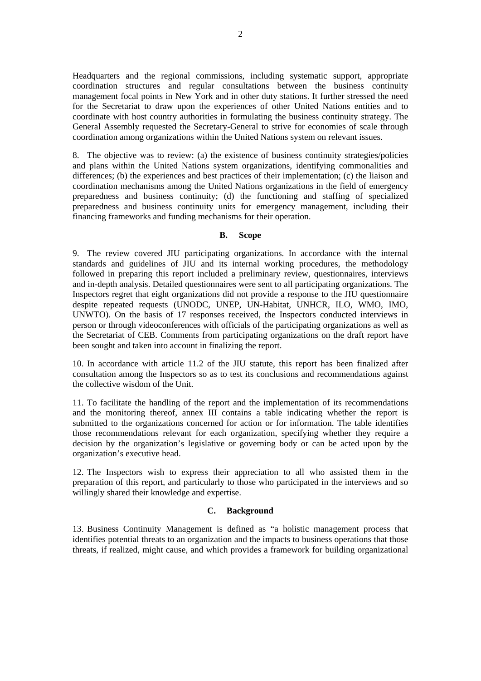Headquarters and the regional commissions, including systematic support, appropriate coordination structures and regular consultations between the business continuity management focal points in New York and in other duty stations. It further stressed the need for the Secretariat to draw upon the experiences of other United Nations entities and to coordinate with host country authorities in formulating the business continuity strategy. The General Assembly requested the Secretary-General to strive for economies of scale through coordination among organizations within the United Nations system on relevant issues.

8. The objective was to review: (a) the existence of business continuity strategies/policies and plans within the United Nations system organizations, identifying commonalities and differences; (b) the experiences and best practices of their implementation; (c) the liaison and coordination mechanisms among the United Nations organizations in the field of emergency preparedness and business continuity; (d) the functioning and staffing of specialized preparedness and business continuity units for emergency management, including their financing frameworks and funding mechanisms for their operation.

## **B. Scope**

9. The review covered JIU participating organizations. In accordance with the internal standards and guidelines of JIU and its internal working procedures, the methodology followed in preparing this report included a preliminary review, questionnaires, interviews and in-depth analysis. Detailed questionnaires were sent to all participating organizations. The Inspectors regret that eight organizations did not provide a response to the JIU questionnaire despite repeated requests (UNODC, UNEP, UN-Habitat, UNHCR, ILO, WMO, IMO, UNWTO). On the basis of 17 responses received, the Inspectors conducted interviews in person or through videoconferences with officials of the participating organizations as well as the Secretariat of CEB. Comments from participating organizations on the draft report have been sought and taken into account in finalizing the report.

10. In accordance with article 11.2 of the JIU statute, this report has been finalized after consultation among the Inspectors so as to test its conclusions and recommendations against the collective wisdom of the Unit.

11. To facilitate the handling of the report and the implementation of its recommendations and the monitoring thereof, annex III contains a table indicating whether the report is submitted to the organizations concerned for action or for information. The table identifies those recommendations relevant for each organization, specifying whether they require a decision by the organization's legislative or governing body or can be acted upon by the organization's executive head.

12. The Inspectors wish to express their appreciation to all who assisted them in the preparation of this report, and particularly to those who participated in the interviews and so willingly shared their knowledge and expertise.

## **C. Background**

13. Business Continuity Management is defined as "a holistic management process that identifies potential threats to an organization and the impacts to business operations that those threats, if realized, might cause, and which provides a framework for building organizational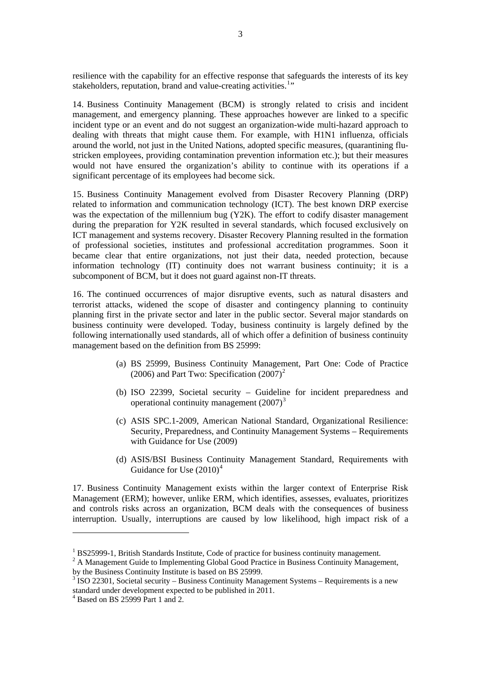<span id="page-11-0"></span>resilience with the capability for an effective response that safeguards the interests of its key stakeholders, reputation, brand and value-creating activities.<sup>[1](#page-11-0)</sup>"

14. Business Continuity Management (BCM) is strongly related to crisis and incident management, and emergency planning. These approaches however are linked to a specific incident type or an event and do not suggest an organization-wide multi-hazard approach to dealing with threats that might cause them. For example, with H1N1 influenza, officials around the world, not just in the United Nations, adopted specific measures, (quarantining flustricken employees, providing contamination prevention information etc.); but their measures would not have ensured the organization's ability to continue with its operations if a significant percentage of its employees had become sick.

15. Business Continuity Management evolved from Disaster Recovery Planning (DRP) related to information and communication technology (ICT). The best known DRP exercise was the expectation of the millennium bug (Y2K). The effort to codify disaster management during the preparation for Y2K resulted in several standards, which focused exclusively on ICT management and systems recovery. Disaster Recovery Planning resulted in the formation of professional societies, institutes and professional accreditation programmes. Soon it became clear that entire organizations, not just their data, needed protection, because information technology (IT) continuity does not warrant business continuity; it is a subcomponent of BCM, but it does not guard against non-IT threats.

16. The continued occurrences of major disruptive events, such as natural disasters and terrorist attacks, widened the scope of disaster and contingency planning to continuity planning first in the private sector and later in the public sector. Several major standards on business continuity were developed. Today, business continuity is largely defined by the following internationally used standards, all of which offer a definition of business continuity management based on the definition from BS 25999:

- (a) BS 25999, Business Continuity Management, Part One: Code of Practice ([2](#page-11-0)006) and Part Two: Specification  $(2007)^2$
- (b) ISO 22399, Societal security Guideline for incident preparedness and operational continuity management  $(2007)^3$  $(2007)^3$
- (c) ASIS SPC.1-2009, American National Standard, Organizational Resilience: Security, Preparedness, and Continuity Management Systems – Requirements with Guidance for Use (2009)
- (d) ASIS/BSI Business Continuity Management Standard, Requirements with Guidance for Use  $(2010)^4$  $(2010)^4$

17. Business Continuity Management exists within the larger context of Enterprise Risk Management (ERM); however, unlike ERM, which identifies, assesses, evaluates, prioritizes and controls risks across an organization, BCM deals with the consequences of business interruption. Usually, interruptions are caused by low likelihood, high impact risk of a

 $\overline{a}$ 

<sup>&</sup>lt;sup>1</sup> BS25999-1, British Standards Institute, Code of practice for business continuity management.

 $2$  A Management Guide to Implementing Global Good Practice in Business Continuity Management, by the Business Continuity Institute is based on BS 25999.

 $3$  ISO 22301, Societal security – Business Continuity Management Systems – Requirements is a new standard under development expected to be published in 2011.

<sup>4</sup> Based on BS 25999 Part 1 and 2.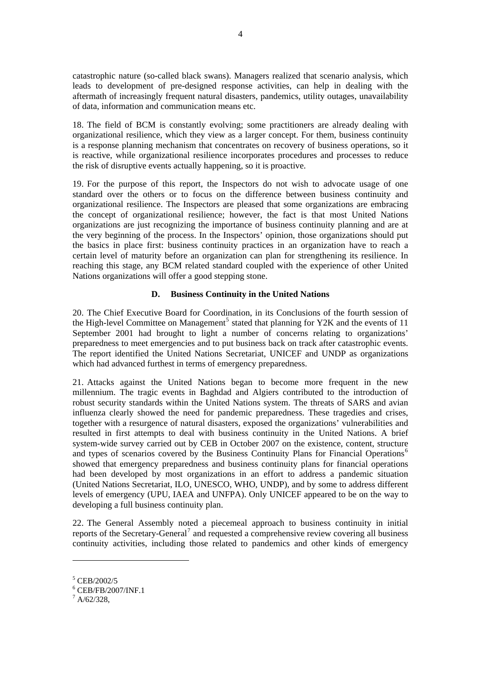<span id="page-12-0"></span>catastrophic nature (so-called black swans). Managers realized that scenario analysis, which leads to development of pre-designed response activities, can help in dealing with the aftermath of increasingly frequent natural disasters, pandemics, utility outages, unavailability of data, information and communication means etc.

18. The field of BCM is constantly evolving; some practitioners are already dealing with organizational resilience, which they view as a larger concept. For them, business continuity is a response planning mechanism that concentrates on recovery of business operations, so it is reactive, while organizational resilience incorporates procedures and processes to reduce the risk of disruptive events actually happening, so it is proactive.

19. For the purpose of this report, the Inspectors do not wish to advocate usage of one standard over the others or to focus on the difference between business continuity and organizational resilience. The Inspectors are pleased that some organizations are embracing the concept of organizational resilience; however, the fact is that most United Nations organizations are just recognizing the importance of business continuity planning and are at the very beginning of the process. In the Inspectors' opinion, those organizations should put the basics in place first: business continuity practices in an organization have to reach a certain level of maturity before an organization can plan for strengthening its resilience. In reaching this stage, any BCM related standard coupled with the experience of other United Nations organizations will offer a good stepping stone.

## **D. Business Continuity in the United Nations**

20. The Chief Executive Board for Coordination, in its Conclusions of the fourth session of the High-level Committee on Management<sup>[5](#page-12-0)</sup> stated that planning for Y2K and the events of 11 September 2001 had brought to light a number of concerns relating to organizations' preparedness to meet emergencies and to put business back on track after catastrophic events. The report identified the United Nations Secretariat, UNICEF and UNDP as organizations which had advanced furthest in terms of emergency preparedness.

21. Attacks against the United Nations began to become more frequent in the new millennium. The tragic events in Baghdad and Algiers contributed to the introduction of robust security standards within the United Nations system. The threats of SARS and avian influenza clearly showed the need for pandemic preparedness. These tragedies and crises, together with a resurgence of natural disasters, exposed the organizations' vulnerabilities and resulted in first attempts to deal with business continuity in the United Nations. A brief system-wide survey carried out by CEB in October 2007 on the existence, content, structure and types of scenarios covered by the Business Continuity Plans for Financial Operations<sup>[6](#page-12-0)</sup> showed that emergency preparedness and business continuity plans for financial operations had been developed by most organizations in an effort to address a pandemic situation (United Nations Secretariat, ILO, UNESCO, WHO, UNDP), and by some to address different levels of emergency (UPU, IAEA and UNFPA). Only UNICEF appeared to be on the way to developing a full business continuity plan.

22. The General Assembly noted a piecemeal approach to business continuity in initial reports of the Secretary-General<sup>[7](#page-12-0)</sup> and requested a comprehensive review covering all business continuity activities, including those related to pandemics and other kinds of emergency

 $\overline{a}$ 

<sup>5</sup> CEB/2002/5

<sup>6</sup> CEB/FB/2007/INF.1

 $^7$  A/62/328,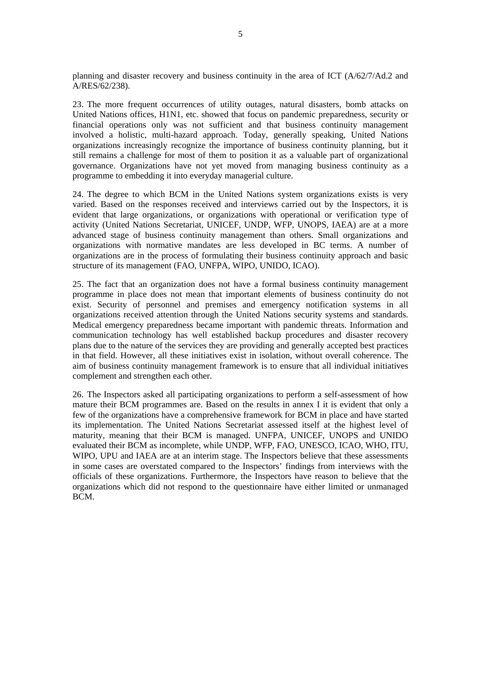planning and disaster recovery and business continuity in the area of ICT (A/62/7/Ad.2 and A/RES/62/238).

23. The more frequent occurrences of utility outages, natural disasters, bomb attacks on United Nations offices, H1N1, etc. showed that focus on pandemic preparedness, security or financial operations only was not sufficient and that business continuity management involved a holistic, multi-hazard approach. Today, generally speaking, United Nations organizations increasingly recognize the importance of business continuity planning, but it still remains a challenge for most of them to position it as a valuable part of organizational governance. Organizations have not yet moved from managing business continuity as a programme to embedding it into everyday managerial culture.

24. The degree to which BCM in the United Nations system organizations exists is very varied. Based on the responses received and interviews carried out by the Inspectors, it is evident that large organizations, or organizations with operational or verification type of activity (United Nations Secretariat, UNICEF, UNDP, WFP, UNOPS, IAEA) are at a more advanced stage of business continuity management than others. Small organizations and organizations with normative mandates are less developed in BC terms. A number of organizations are in the process of formulating their business continuity approach and basic structure of its management (FAO, UNFPA, WIPO, UNIDO, ICAO).

25. The fact that an organization does not have a formal business continuity management programme in place does not mean that important elements of business continuity do not exist. Security of personnel and premises and emergency notification systems in all organizations received attention through the United Nations security systems and standards. Medical emergency preparedness became important with pandemic threats. Information and communication technology has well established backup procedures and disaster recovery plans due to the nature of the services they are providing and generally accepted best practices in that field. However, all these initiatives exist in isolation, without overall coherence. The aim of business continuity management framework is to ensure that all individual initiatives complement and strengthen each other.

26. The Inspectors asked all participating organizations to perform a self-assessment of how mature their BCM programmes are. Based on the results in annex I it is evident that only a few of the organizations have a comprehensive framework for BCM in place and have started its implementation. The United Nations Secretariat assessed itself at the highest level of maturity, meaning that their BCM is managed. UNFPA, UNICEF, UNOPS and UNIDO evaluated their BCM as incomplete, while UNDP, WFP, FAO, UNESCO, ICAO, WHO, ITU, WIPO, UPU and IAEA are at an interim stage. The Inspectors believe that these assessments in some cases are overstated compared to the Inspectors' findings from interviews with the officials of these organizations. Furthermore, the Inspectors have reason to believe that the organizations which did not respond to the questionnaire have either limited or unmanaged BCM.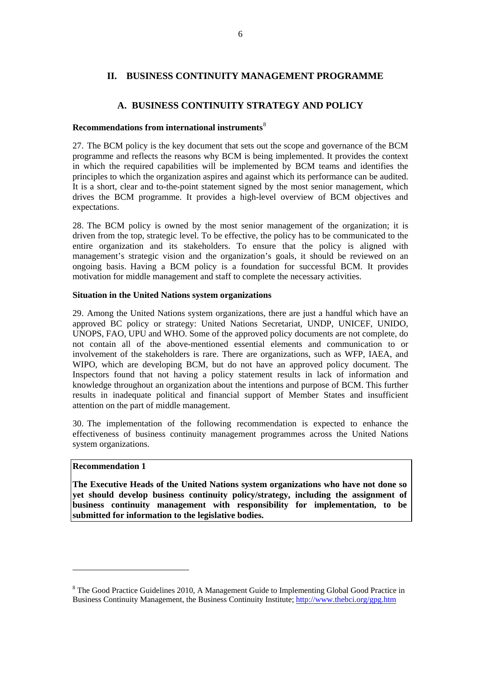## <span id="page-14-0"></span>**II. BUSINESS CONTINUITY MANAGEMENT PROGRAMME**

## **A. BUSINESS CONTINUITY STRATEGY AND POLICY**

## **Recommendations from international instruments**[8](#page-14-0)

27. The BCM policy is the key document that sets out the scope and governance of the BCM programme and reflects the reasons why BCM is being implemented. It provides the context in which the required capabilities will be implemented by BCM teams and identifies the principles to which the organization aspires and against which its performance can be audited. It is a short, clear and to-the-point statement signed by the most senior management, which drives the BCM programme. It provides a high-level overview of BCM objectives and expectations.

28. The BCM policy is owned by the most senior management of the organization; it is driven from the top, strategic level. To be effective, the policy has to be communicated to the entire organization and its stakeholders. To ensure that the policy is aligned with management's strategic vision and the organization's goals, it should be reviewed on an ongoing basis. Having a BCM policy is a foundation for successful BCM. It provides motivation for middle management and staff to complete the necessary activities.

## **Situation in the United Nations system organizations**

29. Among the United Nations system organizations, there are just a handful which have an approved BC policy or strategy: United Nations Secretariat, UNDP, UNICEF, UNIDO, UNOPS, FAO, UPU and WHO. Some of the approved policy documents are not complete, do not contain all of the above-mentioned essential elements and communication to or involvement of the stakeholders is rare. There are organizations, such as WFP, IAEA, and WIPO, which are developing BCM, but do not have an approved policy document. The Inspectors found that not having a policy statement results in lack of information and knowledge throughout an organization about the intentions and purpose of BCM. This further results in inadequate political and financial support of Member States and insufficient attention on the part of middle management.

30. The implementation of the following recommendation is expected to enhance the effectiveness of business continuity management programmes across the United Nations system organizations.

## **Recommendation 1**

 $\overline{a}$ 

**The Executive Heads of the United Nations system organizations who have not done so yet should develop business continuity policy/strategy, including the assignment of business continuity management with responsibility for implementation, to be submitted for information to the legislative bodies.** 

<sup>&</sup>lt;sup>8</sup> The Good Practice Guidelines 2010, A Management Guide to Implementing Global Good Practice in Business Continuity Management, the Business Continuity Institute;<http://www.thebci.org/gpg.htm>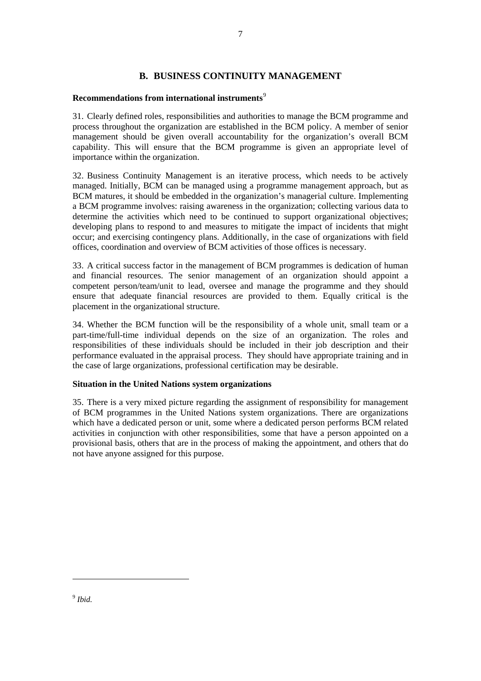## **B. BUSINESS CONTINUITY MANAGEMENT**

## <span id="page-15-0"></span>**Recommendations from international instruments**[9](#page-15-0)

31. Clearly defined roles, responsibilities and authorities to manage the BCM programme and process throughout the organization are established in the BCM policy. A member of senior management should be given overall accountability for the organization's overall BCM capability. This will ensure that the BCM programme is given an appropriate level of importance within the organization.

32. Business Continuity Management is an iterative process, which needs to be actively managed. Initially, BCM can be managed using a programme management approach, but as BCM matures, it should be embedded in the organization's managerial culture. Implementing a BCM programme involves: raising awareness in the organization; collecting various data to determine the activities which need to be continued to support organizational objectives; developing plans to respond to and measures to mitigate the impact of incidents that might occur; and exercising contingency plans. Additionally, in the case of organizations with field offices, coordination and overview of BCM activities of those offices is necessary.

33. A critical success factor in the management of BCM programmes is dedication of human and financial resources. The senior management of an organization should appoint a competent person/team/unit to lead, oversee and manage the programme and they should ensure that adequate financial resources are provided to them. Equally critical is the placement in the organizational structure.

34. Whether the BCM function will be the responsibility of a whole unit, small team or a part-time/full-time individual depends on the size of an organization. The roles and responsibilities of these individuals should be included in their job description and their performance evaluated in the appraisal process. They should have appropriate training and in the case of large organizations, professional certification may be desirable.

## **Situation in the United Nations system organizations**

35. There is a very mixed picture regarding the assignment of responsibility for management of BCM programmes in the United Nations system organizations. There are organizations which have a dedicated person or unit, some where a dedicated person performs BCM related activities in conjunction with other responsibilities, some that have a person appointed on a provisional basis, others that are in the process of making the appointment, and others that do not have anyone assigned for this purpose.

<sup>9</sup> *Ibid.* 

 $\overline{a}$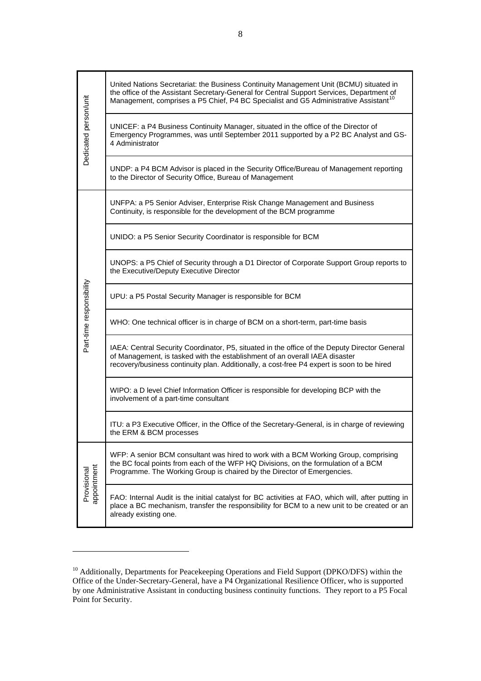<span id="page-16-0"></span>

| Dedicated person/unit      | United Nations Secretariat: the Business Continuity Management Unit (BCMU) situated in<br>the office of the Assistant Secretary-General for Central Support Services, Department of<br>Management, comprises a P5 Chief, P4 BC Specialist and G5 Administrative Assistant <sup>10</sup> |  |  |  |  |  |  |  |
|----------------------------|-----------------------------------------------------------------------------------------------------------------------------------------------------------------------------------------------------------------------------------------------------------------------------------------|--|--|--|--|--|--|--|
|                            | UNICEF: a P4 Business Continuity Manager, situated in the office of the Director of<br>Emergency Programmes, was until September 2011 supported by a P2 BC Analyst and GS-<br>4 Administrator                                                                                           |  |  |  |  |  |  |  |
|                            | UNDP: a P4 BCM Advisor is placed in the Security Office/Bureau of Management reporting<br>to the Director of Security Office, Bureau of Management                                                                                                                                      |  |  |  |  |  |  |  |
|                            | UNFPA: a P5 Senior Adviser, Enterprise Risk Change Management and Business<br>Continuity, is responsible for the development of the BCM programme                                                                                                                                       |  |  |  |  |  |  |  |
|                            | UNIDO: a P5 Senior Security Coordinator is responsible for BCM                                                                                                                                                                                                                          |  |  |  |  |  |  |  |
|                            | UNOPS: a P5 Chief of Security through a D1 Director of Corporate Support Group reports to<br>the Executive/Deputy Executive Director                                                                                                                                                    |  |  |  |  |  |  |  |
|                            | UPU: a P5 Postal Security Manager is responsible for BCM                                                                                                                                                                                                                                |  |  |  |  |  |  |  |
| Part-time responsibility   | WHO: One technical officer is in charge of BCM on a short-term, part-time basis                                                                                                                                                                                                         |  |  |  |  |  |  |  |
|                            | IAEA: Central Security Coordinator, P5, situated in the office of the Deputy Director General<br>of Management, is tasked with the establishment of an overall IAEA disaster<br>recovery/business continuity plan. Additionally, a cost-free P4 expert is soon to be hired              |  |  |  |  |  |  |  |
|                            | WIPO: a D level Chief Information Officer is responsible for developing BCP with the<br>involvement of a part-time consultant                                                                                                                                                           |  |  |  |  |  |  |  |
|                            | ITU: a P3 Executive Officer, in the Office of the Secretary-General, is in charge of reviewing<br>the ERM & BCM processes                                                                                                                                                               |  |  |  |  |  |  |  |
| appointment<br>Provisional | WFP: A senior BCM consultant was hired to work with a BCM Working Group, comprising<br>the BC focal points from each of the WFP HQ Divisions, on the formulation of a BCM<br>Programme. The Working Group is chaired by the Director of Emergencies.                                    |  |  |  |  |  |  |  |
|                            | FAO: Internal Audit is the initial catalyst for BC activities at FAO, which will, after putting in<br>place a BC mechanism, transfer the responsibility for BCM to a new unit to be created or an<br>already existing one.                                                              |  |  |  |  |  |  |  |

 $\overline{a}$ 

<sup>&</sup>lt;sup>10</sup> Additionally, Departments for Peacekeeping Operations and Field Support (DPKO/DFS) within the Office of the Under-Secretary-General, have a P4 Organizational Resilience Officer, who is supported by one Administrative Assistant in conducting business continuity functions. They report to a P5 Focal Point for Security.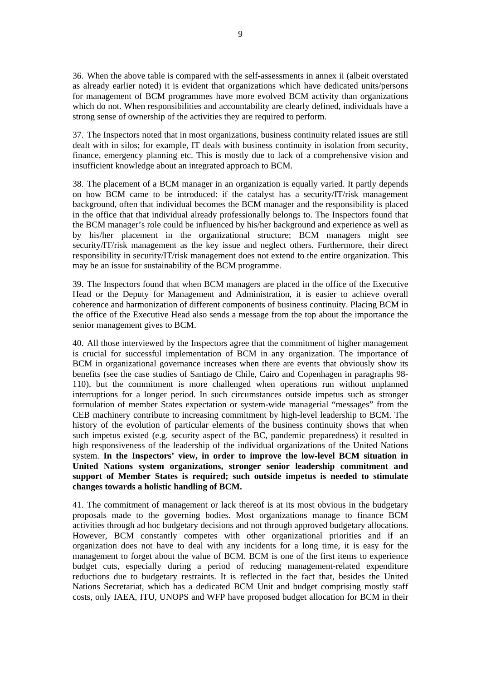36. When the above table is compared with the self-assessments in annex ii (albeit overstated as already earlier noted) it is evident that organizations which have dedicated units/persons for management of BCM programmes have more evolved BCM activity than organizations which do not. When responsibilities and accountability are clearly defined, individuals have a strong sense of ownership of the activities they are required to perform.

37. The Inspectors noted that in most organizations, business continuity related issues are still dealt with in silos; for example, IT deals with business continuity in isolation from security, finance, emergency planning etc. This is mostly due to lack of a comprehensive vision and insufficient knowledge about an integrated approach to BCM.

38. The placement of a BCM manager in an organization is equally varied. It partly depends on how BCM came to be introduced: if the catalyst has a security/IT/risk management background, often that individual becomes the BCM manager and the responsibility is placed in the office that that individual already professionally belongs to. The Inspectors found that the BCM manager's role could be influenced by his/her background and experience as well as by his/her placement in the organizational structure; BCM managers might see security/IT/risk management as the key issue and neglect others. Furthermore, their direct responsibility in security/IT/risk management does not extend to the entire organization. This may be an issue for sustainability of the BCM programme.

39. The Inspectors found that when BCM managers are placed in the office of the Executive Head or the Deputy for Management and Administration, it is easier to achieve overall coherence and harmonization of different components of business continuity. Placing BCM in the office of the Executive Head also sends a message from the top about the importance the senior management gives to BCM.

40. All those interviewed by the Inspectors agree that the commitment of higher management is crucial for successful implementation of BCM in any organization. The importance of BCM in organizational governance increases when there are events that obviously show its benefits (see the case studies of Santiago de Chile, Cairo and Copenhagen in paragraphs 98- 110), but the commitment is more challenged when operations run without unplanned interruptions for a longer period. In such circumstances outside impetus such as stronger formulation of member States expectation or system-wide managerial "messages" from the CEB machinery contribute to increasing commitment by high-level leadership to BCM. The history of the evolution of particular elements of the business continuity shows that when such impetus existed (e.g. security aspect of the BC, pandemic preparedness) it resulted in high responsiveness of the leadership of the individual organizations of the United Nations system. **In the Inspectors' view, in order to improve the low-level BCM situation in United Nations system organizations, stronger senior leadership commitment and support of Member States is required; such outside impetus is needed to stimulate changes towards a holistic handling of BCM.** 

41. The commitment of management or lack thereof is at its most obvious in the budgetary proposals made to the governing bodies. Most organizations manage to finance BCM activities through ad hoc budgetary decisions and not through approved budgetary allocations. However, BCM constantly competes with other organizational priorities and if an organization does not have to deal with any incidents for a long time, it is easy for the management to forget about the value of BCM. BCM is one of the first items to experience budget cuts, especially during a period of reducing management-related expenditure reductions due to budgetary restraints. It is reflected in the fact that, besides the United Nations Secretariat, which has a dedicated BCM Unit and budget comprising mostly staff costs, only IAEA, ITU, UNOPS and WFP have proposed budget allocation for BCM in their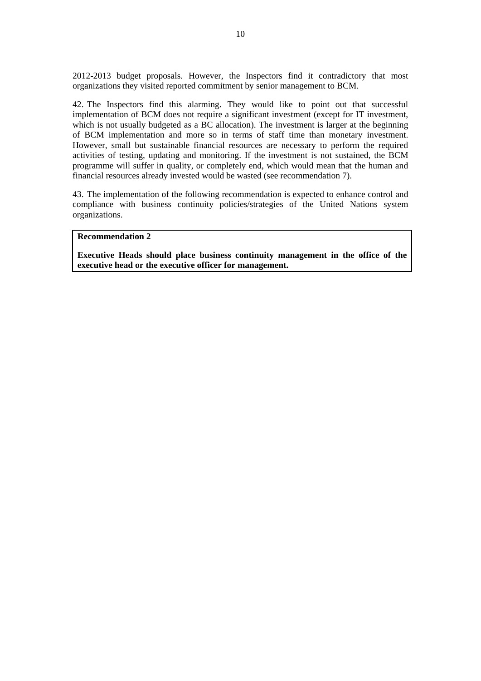2012-2013 budget proposals. However, the Inspectors find it contradictory that most organizations they visited reported commitment by senior management to BCM.

42. The Inspectors find this alarming. They would like to point out that successful implementation of BCM does not require a significant investment (except for IT investment, which is not usually budgeted as a BC allocation). The investment is larger at the beginning of BCM implementation and more so in terms of staff time than monetary investment. However, small but sustainable financial resources are necessary to perform the required activities of testing, updating and monitoring. If the investment is not sustained, the BCM programme will suffer in quality, or completely end, which would mean that the human and financial resources already invested would be wasted (see recommendation 7).

43. The implementation of the following recommendation is expected to enhance control and compliance with business continuity policies/strategies of the United Nations system organizations.

## **Recommendation 2**

**Executive Heads should place business continuity management in the office of the executive head or the executive officer for management.**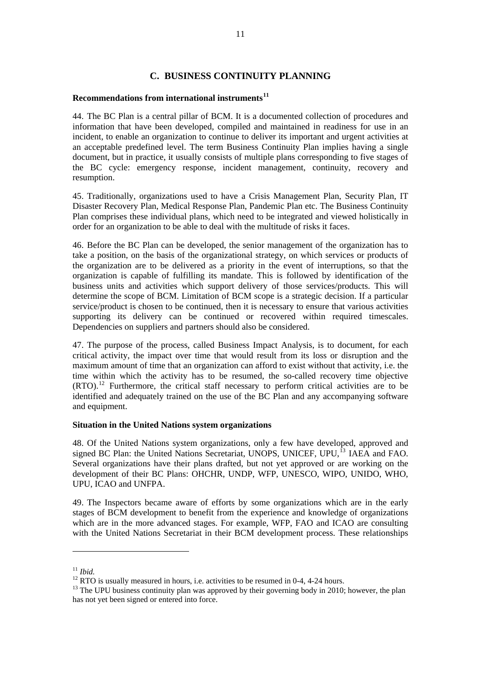## **C. BUSINESS CONTINUITY PLANNING**

## <span id="page-19-0"></span>**Recommendations from international instruments[11](#page-19-0)**

44. The BC Plan is a central pillar of BCM. It is a documented collection of procedures and information that have been developed, compiled and maintained in readiness for use in an incident, to enable an organization to continue to deliver its important and urgent activities at an acceptable predefined level. The term Business Continuity Plan implies having a single document, but in practice, it usually consists of multiple plans corresponding to five stages of the BC cycle: emergency response, incident management, continuity, recovery and resumption.

45. Traditionally, organizations used to have a Crisis Management Plan, Security Plan, IT Disaster Recovery Plan, Medical Response Plan, Pandemic Plan etc. The Business Continuity Plan comprises these individual plans, which need to be integrated and viewed holistically in order for an organization to be able to deal with the multitude of risks it faces.

46. Before the BC Plan can be developed, the senior management of the organization has to take a position, on the basis of the organizational strategy, on which services or products of the organization are to be delivered as a priority in the event of interruptions, so that the organization is capable of fulfilling its mandate. This is followed by identification of the business units and activities which support delivery of those services/products. This will determine the scope of BCM. Limitation of BCM scope is a strategic decision. If a particular service/product is chosen to be continued, then it is necessary to ensure that various activities supporting its delivery can be continued or recovered within required timescales. Dependencies on suppliers and partners should also be considered.

47. The purpose of the process, called Business Impact Analysis, is to document, for each critical activity, the impact over time that would result from its loss or disruption and the maximum amount of time that an organization can afford to exist without that activity, i.e. the time within which the activity has to be resumed, the so-called recovery time objective  $(RTO)$ .<sup>[12](#page-19-0)</sup> Furthermore, the critical staff necessary to perform critical activities are to be identified and adequately trained on the use of the BC Plan and any accompanying software and equipment.

## **Situation in the United Nations system organizations**

48. Of the United Nations system organizations, only a few have developed, approved and signed BC Plan: the United Nations Secretariat, UNOPS, UNICEF, UPU,<sup>[13](#page-19-0)</sup> IAEA and FAO. Several organizations have their plans drafted, but not yet approved or are working on the development of their BC Plans: OHCHR, UNDP, WFP, UNESCO, WIPO, UNIDO, WHO, UPU, ICAO and UNFPA.

49. The Inspectors became aware of efforts by some organizations which are in the early stages of BCM development to benefit from the experience and knowledge of organizations which are in the more advanced stages. For example, WFP, FAO and ICAO are consulting with the United Nations Secretariat in their BCM development process. These relationships

 $\overline{a}$ 

<sup>&</sup>lt;sup>11</sup> *Ibid.* <sup>12</sup> RTO is usually measured in hours, i.e. activities to be resumed in 0-4, 4-24 hours.

 $13$  The UPU business continuity plan was approved by their governing body in 2010; however, the plan has not yet been signed or entered into force.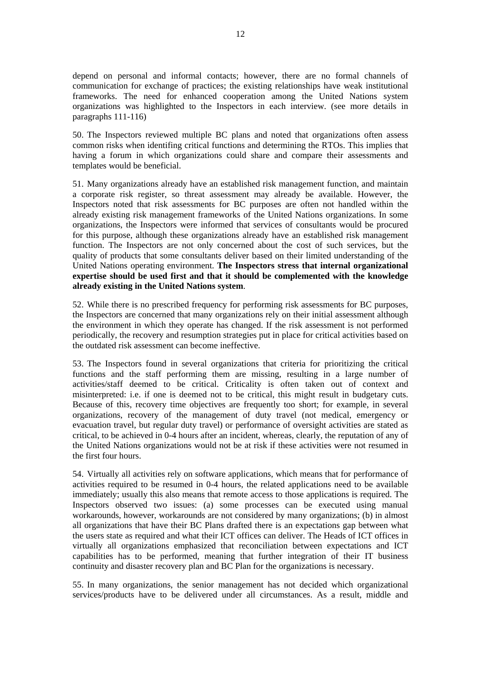depend on personal and informal contacts; however, there are no formal channels of communication for exchange of practices; the existing relationships have weak institutional frameworks. The need for enhanced cooperation among the United Nations system organizations was highlighted to the Inspectors in each interview. (see more details in paragraphs 111-116)

50. The Inspectors reviewed multiple BC plans and noted that organizations often assess common risks when identifing critical functions and determining the RTOs. This implies that having a forum in which organizations could share and compare their assessments and templates would be beneficial.

51. Many organizations already have an established risk management function, and maintain a corporate risk register, so threat assessment may already be available. However, the Inspectors noted that risk assessments for BC purposes are often not handled within the already existing risk management frameworks of the United Nations organizations. In some organizations, the Inspectors were informed that services of consultants would be procured for this purpose, although these organizations already have an established risk management function. The Inspectors are not only concerned about the cost of such services, but the quality of products that some consultants deliver based on their limited understanding of the United Nations operating environment. **The Inspectors stress that internal organizational expertise should be used first and that it should be complemented with the knowledge already existing in the United Nations system**.

52. While there is no prescribed frequency for performing risk assessments for BC purposes, the Inspectors are concerned that many organizations rely on their initial assessment although the environment in which they operate has changed. If the risk assessment is not performed periodically, the recovery and resumption strategies put in place for critical activities based on the outdated risk assessment can become ineffective.

53. The Inspectors found in several organizations that criteria for prioritizing the critical functions and the staff performing them are missing, resulting in a large number of activities/staff deemed to be critical. Criticality is often taken out of context and misinterpreted: i.e. if one is deemed not to be critical, this might result in budgetary cuts. Because of this, recovery time objectives are frequently too short; for example, in several organizations, recovery of the management of duty travel (not medical, emergency or evacuation travel, but regular duty travel) or performance of oversight activities are stated as critical, to be achieved in 0-4 hours after an incident, whereas, clearly, the reputation of any of the United Nations organizations would not be at risk if these activities were not resumed in the first four hours.

54. Virtually all activities rely on software applications, which means that for performance of activities required to be resumed in 0-4 hours, the related applications need to be available immediately; usually this also means that remote access to those applications is required. The Inspectors observed two issues: (a) some processes can be executed using manual workarounds, however, workarounds are not considered by many organizations; (b) in almost all organizations that have their BC Plans drafted there is an expectations gap between what the users state as required and what their ICT offices can deliver. The Heads of ICT offices in virtually all organizations emphasized that reconciliation between expectations and ICT capabilities has to be performed, meaning that further integration of their IT business continuity and disaster recovery plan and BC Plan for the organizations is necessary.

55. In many organizations, the senior management has not decided which organizational services/products have to be delivered under all circumstances. As a result, middle and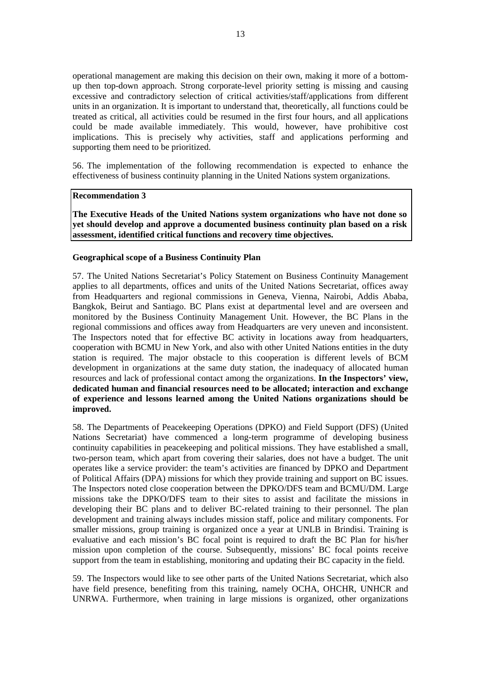operational management are making this decision on their own, making it more of a bottomup then top-down approach. Strong corporate-level priority setting is missing and causing excessive and contradictory selection of critical activities/staff/applications from different units in an organization. It is important to understand that, theoretically, all functions could be treated as critical, all activities could be resumed in the first four hours, and all applications could be made available immediately. This would, however, have prohibitive cost implications. This is precisely why activities, staff and applications performing and supporting them need to be prioritized.

56. The implementation of the following recommendation is expected to enhance the effectiveness of business continuity planning in the United Nations system organizations.

## **Recommendation 3**

**The Executive Heads of the United Nations system organizations who have not done so yet should develop and approve a documented business continuity plan based on a risk assessment, identified critical functions and recovery time objectives.** 

#### **Geographical scope of a Business Continuity Plan**

57. The United Nations Secretariat's Policy Statement on Business Continuity Management applies to all departments, offices and units of the United Nations Secretariat, offices away from Headquarters and regional commissions in Geneva, Vienna, Nairobi, Addis Ababa, Bangkok, Beirut and Santiago. BC Plans exist at departmental level and are overseen and monitored by the Business Continuity Management Unit. However, the BC Plans in the regional commissions and offices away from Headquarters are very uneven and inconsistent. The Inspectors noted that for effective BC activity in locations away from headquarters, cooperation with BCMU in New York, and also with other United Nations entities in the duty station is required. The major obstacle to this cooperation is different levels of BCM development in organizations at the same duty station, the inadequacy of allocated human resources and lack of professional contact among the organizations. **In the Inspectors' view, dedicated human and financial resources need to be allocated; interaction and exchange of experience and lessons learned among the United Nations organizations should be improved.**

58. The Departments of Peacekeeping Operations (DPKO) and Field Support (DFS) (United Nations Secretariat) have commenced a long-term programme of developing business continuity capabilities in peacekeeping and political missions. They have established a small, two-person team, which apart from covering their salaries, does not have a budget. The unit operates like a service provider: the team's activities are financed by DPKO and Department of Political Affairs (DPA) missions for which they provide training and support on BC issues. The Inspectors noted close cooperation between the DPKO/DFS team and BCMU/DM. Large missions take the DPKO/DFS team to their sites to assist and facilitate the missions in developing their BC plans and to deliver BC-related training to their personnel. The plan development and training always includes mission staff, police and military components. For smaller missions, group training is organized once a year at UNLB in Brindisi. Training is evaluative and each mission's BC focal point is required to draft the BC Plan for his/her mission upon completion of the course. Subsequently, missions' BC focal points receive support from the team in establishing, monitoring and updating their BC capacity in the field.

59. The Inspectors would like to see other parts of the United Nations Secretariat, which also have field presence, benefiting from this training, namely OCHA, OHCHR, UNHCR and UNRWA. Furthermore, when training in large missions is organized, other organizations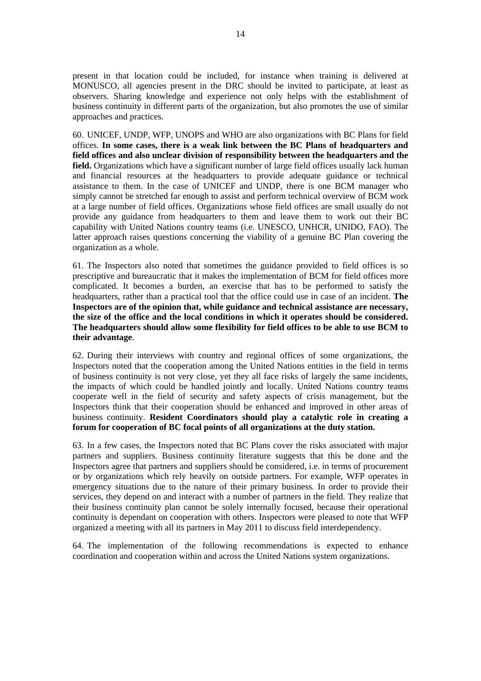present in that location could be included, for instance when training is delivered at MONUSCO, all agencies present in the DRC should be invited to participate, at least as observers. Sharing knowledge and experience not only helps with the establishment of business continuity in different parts of the organization, but also promotes the use of similar approaches and practices.

60. UNICEF, UNDP, WFP, UNOPS and WHO are also organizations with BC Plans for field offices. **In some cases, there is a weak link between the BC Plans of headquarters and field offices and also unclear division of responsibility between the headquarters and the field.** Organizations which have a significant number of large field offices usually lack human and financial resources at the headquarters to provide adequate guidance or technical assistance to them. In the case of UNICEF and UNDP, there is one BCM manager who simply cannot be stretched far enough to assist and perform technical overview of BCM work at a large number of field offices. Organizations whose field offices are small usually do not provide any guidance from headquarters to them and leave them to work out their BC capability with United Nations country teams (i.e. UNESCO, UNHCR, UNIDO, FAO). The latter approach raises questions concerning the viability of a genuine BC Plan covering the organization as a whole.

61. The Inspectors also noted that sometimes the guidance provided to field offices is so prescriptive and bureaucratic that it makes the implementation of BCM for field offices more complicated. It becomes a burden, an exercise that has to be performed to satisfy the headquarters, rather than a practical tool that the office could use in case of an incident. **The Inspectors are of the opinion that, while guidance and technical assistance are necessary, the size of the office and the local conditions in which it operates should be considered. The headquarters should allow some flexibility for field offices to be able to use BCM to their advantage**.

62. During their interviews with country and regional offices of some organizations, the Inspectors noted that the cooperation among the United Nations entities in the field in terms of business continuity is not very close, yet they all face risks of largely the same incidents, the impacts of which could be handled jointly and locally. United Nations country teams cooperate well in the field of security and safety aspects of crisis management, but the Inspectors think that their cooperation should be enhanced and improved in other areas of business continuity. **Resident Coordinators should play a catalytic role in creating a forum for cooperation of BC focal points of all organizations at the duty station.**

63. In a few cases, the Inspectors noted that BC Plans cover the risks associated with major partners and suppliers. Business continuity literature suggests that this be done and the Inspectors agree that partners and suppliers should be considered, i.e. in terms of procurement or by organizations which rely heavily on outside partners. For example, WFP operates in emergency situations due to the nature of their primary business. In order to provide their services, they depend on and interact with a number of partners in the field. They realize that their business continuity plan cannot be solely internally focused, because their operational continuity is dependant on cooperation with others. Inspectors were pleased to note that WFP organized a meeting with all its partners in May 2011 to discuss field interdependency.

64. The implementation of the following recommendations is expected to enhance coordination and cooperation within and across the United Nations system organizations.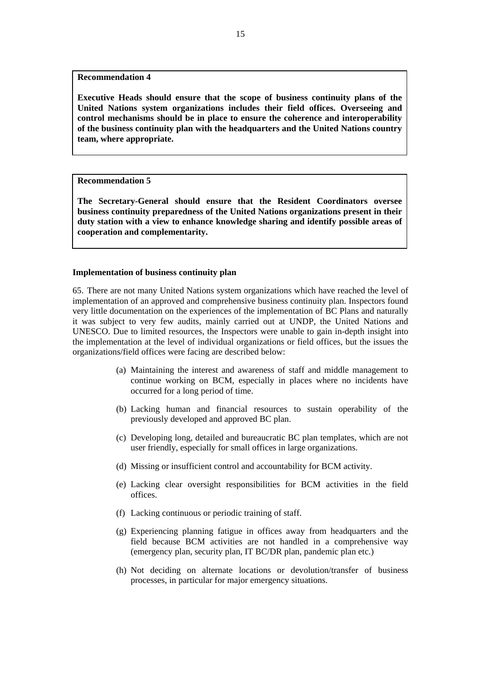#### **Recommendation 4**

**Executive Heads should ensure that the scope of business continuity plans of the United Nations system organizations includes their field offices. Overseeing and control mechanisms should be in place to ensure the coherence and interoperability of the business continuity plan with the headquarters and the United Nations country team, where appropriate.** 

## **Recommendation 5**

**The Secretary-General should ensure that the Resident Coordinators oversee business continuity preparedness of the United Nations organizations present in their duty station with a view to enhance knowledge sharing and identify possible areas of cooperation and complementarity.** 

#### **Implementation of business continuity plan**

65. There are not many United Nations system organizations which have reached the level of implementation of an approved and comprehensive business continuity plan. Inspectors found very little documentation on the experiences of the implementation of BC Plans and naturally it was subject to very few audits, mainly carried out at UNDP, the United Nations and UNESCO. Due to limited resources, the Inspectors were unable to gain in-depth insight into the implementation at the level of individual organizations or field offices, but the issues the organizations/field offices were facing are described below:

- (a) Maintaining the interest and awareness of staff and middle management to continue working on BCM, especially in places where no incidents have occurred for a long period of time.
- (b) Lacking human and financial resources to sustain operability of the previously developed and approved BC plan.
- (c) Developing long, detailed and bureaucratic BC plan templates, which are not user friendly, especially for small offices in large organizations.
- (d) Missing or insufficient control and accountability for BCM activity.
- (e) Lacking clear oversight responsibilities for BCM activities in the field offices.
- (f) Lacking continuous or periodic training of staff.
- (g) Experiencing planning fatigue in offices away from headquarters and the field because BCM activities are not handled in a comprehensive way (emergency plan, security plan, IT BC/DR plan, pandemic plan etc.)
- (h) Not deciding on alternate locations or devolution/transfer of business processes, in particular for major emergency situations.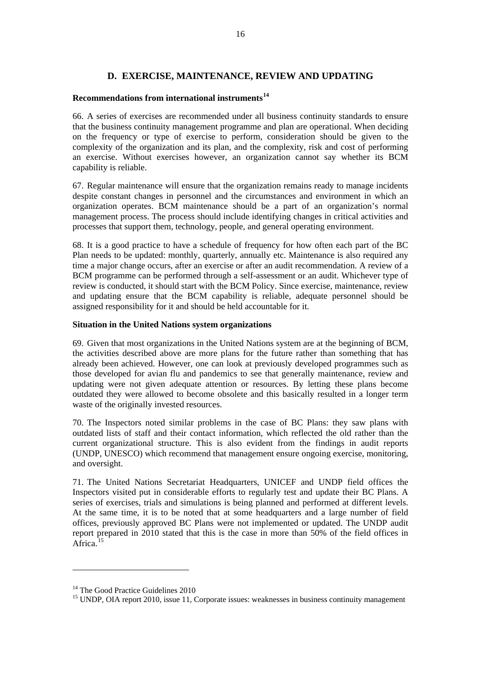## **D. EXERCISE, MAINTENANCE, REVIEW AND UPDATING**

## <span id="page-24-0"></span>**Recommendations from international instruments[14](#page-24-0)**

66. A series of exercises are recommended under all business continuity standards to ensure that the business continuity management programme and plan are operational. When deciding on the frequency or type of exercise to perform, consideration should be given to the complexity of the organization and its plan, and the complexity, risk and cost of performing an exercise. Without exercises however, an organization cannot say whether its BCM capability is reliable.

67. Regular maintenance will ensure that the organization remains ready to manage incidents despite constant changes in personnel and the circumstances and environment in which an organization operates. BCM maintenance should be a part of an organization's normal management process. The process should include identifying changes in critical activities and processes that support them, technology, people, and general operating environment.

68. It is a good practice to have a schedule of frequency for how often each part of the BC Plan needs to be updated: monthly, quarterly, annually etc. Maintenance is also required any time a major change occurs, after an exercise or after an audit recommendation. A review of a BCM programme can be performed through a self-assessment or an audit. Whichever type of review is conducted, it should start with the BCM Policy. Since exercise, maintenance, review and updating ensure that the BCM capability is reliable, adequate personnel should be assigned responsibility for it and should be held accountable for it.

## **Situation in the United Nations system organizations**

69. Given that most organizations in the United Nations system are at the beginning of BCM, the activities described above are more plans for the future rather than something that has already been achieved. However, one can look at previously developed programmes such as those developed for avian flu and pandemics to see that generally maintenance, review and updating were not given adequate attention or resources. By letting these plans become outdated they were allowed to become obsolete and this basically resulted in a longer term waste of the originally invested resources.

70. The Inspectors noted similar problems in the case of BC Plans: they saw plans with outdated lists of staff and their contact information, which reflected the old rather than the current organizational structure. This is also evident from the findings in audit reports (UNDP, UNESCO) which recommend that management ensure ongoing exercise, monitoring, and oversight.

71. The United Nations Secretariat Headquarters, UNICEF and UNDP field offices the Inspectors visited put in considerable efforts to regularly test and update their BC Plans. A series of exercises, trials and simulations is being planned and performed at different levels. At the same time, it is to be noted that at some headquarters and a large number of field offices, previously approved BC Plans were not implemented or updated. The UNDP audit report prepared in 2010 stated that this is the case in more than 50% of the field offices in Africa $1$ 

 $\overline{a}$ 

<sup>&</sup>lt;sup>14</sup> The Good Practice Guidelines 2010

<sup>&</sup>lt;sup>15</sup> UNDP, OIA report 2010, issue 11, Corporate issues: weaknesses in business continuity management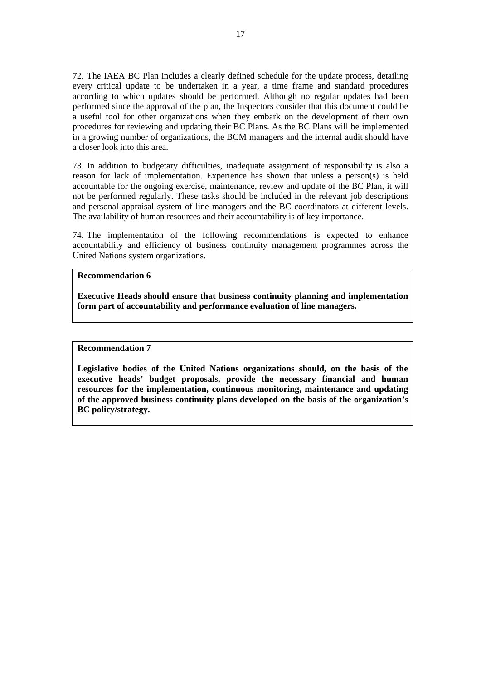72. The IAEA BC Plan includes a clearly defined schedule for the update process, detailing every critical update to be undertaken in a year, a time frame and standard procedures according to which updates should be performed. Although no regular updates had been performed since the approval of the plan, the Inspectors consider that this document could be a useful tool for other organizations when they embark on the development of their own procedures for reviewing and updating their BC Plans. As the BC Plans will be implemented in a growing number of organizations, the BCM managers and the internal audit should have a closer look into this area.

73. In addition to budgetary difficulties, inadequate assignment of responsibility is also a reason for lack of implementation. Experience has shown that unless a person(s) is held accountable for the ongoing exercise, maintenance, review and update of the BC Plan, it will not be performed regularly. These tasks should be included in the relevant job descriptions and personal appraisal system of line managers and the BC coordinators at different levels. The availability of human resources and their accountability is of key importance.

74. The implementation of the following recommendations is expected to enhance accountability and efficiency of business continuity management programmes across the United Nations system organizations.

#### **Recommendation 6**

**Executive Heads should ensure that business continuity planning and implementation form part of accountability and performance evaluation of line managers.** 

#### **Recommendation 7**

**Legislative bodies of the United Nations organizations should, on the basis of the executive heads' budget proposals, provide the necessary financial and human resources for the implementation, continuous monitoring, maintenance and updating of the approved business continuity plans developed on the basis of the organization's BC policy/strategy.**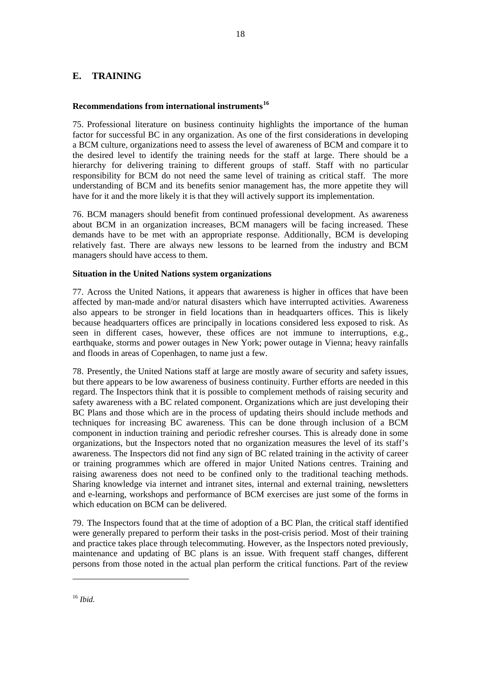## <span id="page-26-0"></span>**E. TRAINING**

## **Recommendations from international instruments[16](#page-26-0)**

75. Professional literature on business continuity highlights the importance of the human factor for successful BC in any organization. As one of the first considerations in developing a BCM culture, organizations need to assess the level of awareness of BCM and compare it to the desired level to identify the training needs for the staff at large. There should be a hierarchy for delivering training to different groups of staff. Staff with no particular responsibility for BCM do not need the same level of training as critical staff. The more understanding of BCM and its benefits senior management has, the more appetite they will have for it and the more likely it is that they will actively support its implementation.

76. BCM managers should benefit from continued professional development. As awareness about BCM in an organization increases, BCM managers will be facing increased. These demands have to be met with an appropriate response. Additionally, BCM is developing relatively fast. There are always new lessons to be learned from the industry and BCM managers should have access to them.

## **Situation in the United Nations system organizations**

77. Across the United Nations, it appears that awareness is higher in offices that have been affected by man-made and/or natural disasters which have interrupted activities. Awareness also appears to be stronger in field locations than in headquarters offices. This is likely because headquarters offices are principally in locations considered less exposed to risk. As seen in different cases, however, these offices are not immune to interruptions, e.g., earthquake, storms and power outages in New York; power outage in Vienna; heavy rainfalls and floods in areas of Copenhagen, to name just a few.

78. Presently, the United Nations staff at large are mostly aware of security and safety issues, but there appears to be low awareness of business continuity. Further efforts are needed in this regard. The Inspectors think that it is possible to complement methods of raising security and safety awareness with a BC related component. Organizations which are just developing their BC Plans and those which are in the process of updating theirs should include methods and techniques for increasing BC awareness. This can be done through inclusion of a BCM component in induction training and periodic refresher courses. This is already done in some organizations, but the Inspectors noted that no organization measures the level of its staff's awareness. The Inspectors did not find any sign of BC related training in the activity of career or training programmes which are offered in major United Nations centres. Training and raising awareness does not need to be confined only to the traditional teaching methods. Sharing knowledge via internet and intranet sites, internal and external training, newsletters and e-learning, workshops and performance of BCM exercises are just some of the forms in which education on BCM can be delivered.

79. The Inspectors found that at the time of adoption of a BC Plan, the critical staff identified were generally prepared to perform their tasks in the post-crisis period. Most of their training and practice takes place through telecommuting. However, as the Inspectors noted previously, maintenance and updating of BC plans is an issue. With frequent staff changes, different persons from those noted in the actual plan perform the critical functions. Part of the review

 $\overline{a}$ 

<sup>16</sup> *Ibid.*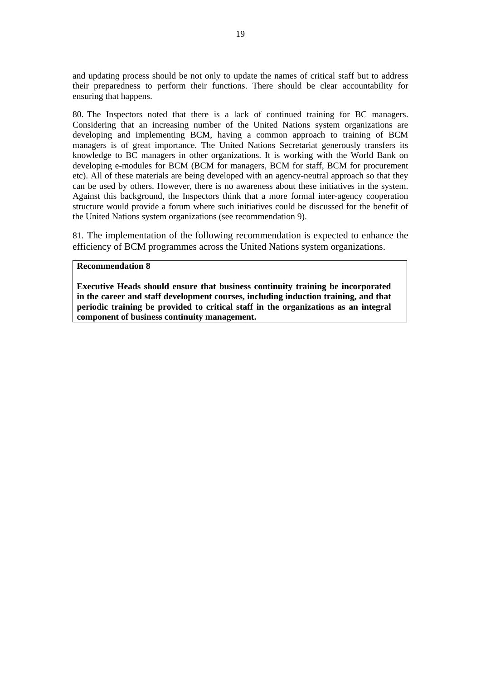and updating process should be not only to update the names of critical staff but to address their preparedness to perform their functions. There should be clear accountability for ensuring that happens.

80. The Inspectors noted that there is a lack of continued training for BC managers. Considering that an increasing number of the United Nations system organizations are developing and implementing BCM, having a common approach to training of BCM managers is of great importance. The United Nations Secretariat generously transfers its knowledge to BC managers in other organizations. It is working with the World Bank on developing e-modules for BCM (BCM for managers, BCM for staff, BCM for procurement etc). All of these materials are being developed with an agency-neutral approach so that they can be used by others. However, there is no awareness about these initiatives in the system. Against this background, the Inspectors think that a more formal inter-agency cooperation structure would provide a forum where such initiatives could be discussed for the benefit of the United Nations system organizations (see recommendation 9).

81. The implementation of the following recommendation is expected to enhance the efficiency of BCM programmes across the United Nations system organizations.

## **Recommendation 8**

**Executive Heads should ensure that business continuity training be incorporated in the career and staff development courses, including induction training, and that periodic training be provided to critical staff in the organizations as an integral component of business continuity management.**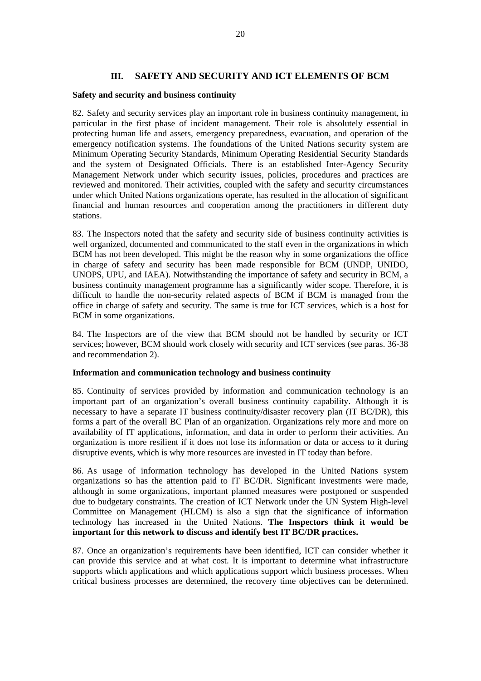## **III. SAFETY AND SECURITY AND ICT ELEMENTS OF BCM**

#### **Safety and security and business continuity**

82. Safety and security services play an important role in business continuity management, in particular in the first phase of incident management. Their role is absolutely essential in protecting human life and assets, emergency preparedness, evacuation, and operation of the emergency notification systems. The foundations of the United Nations security system are Minimum Operating Security Standards, Minimum Operating Residential Security Standards and the system of Designated Officials. There is an established Inter-Agency Security Management Network under which security issues, policies, procedures and practices are reviewed and monitored. Their activities, coupled with the safety and security circumstances under which United Nations organizations operate, has resulted in the allocation of significant financial and human resources and cooperation among the practitioners in different duty stations.

83. The Inspectors noted that the safety and security side of business continuity activities is well organized, documented and communicated to the staff even in the organizations in which BCM has not been developed. This might be the reason why in some organizations the office in charge of safety and security has been made responsible for BCM (UNDP, UNIDO, UNOPS, UPU, and IAEA). Notwithstanding the importance of safety and security in BCM, a business continuity management programme has a significantly wider scope. Therefore, it is difficult to handle the non-security related aspects of BCM if BCM is managed from the office in charge of safety and security. The same is true for ICT services, which is a host for BCM in some organizations.

84. The Inspectors are of the view that BCM should not be handled by security or ICT services; however, BCM should work closely with security and ICT services (see paras. 36-38 and recommendation 2).

## **Information and communication technology and business continuity**

85. Continuity of services provided by information and communication technology is an important part of an organization's overall business continuity capability. Although it is necessary to have a separate IT business continuity/disaster recovery plan (IT BC/DR), this forms a part of the overall BC Plan of an organization. Organizations rely more and more on availability of IT applications, information, and data in order to perform their activities. An organization is more resilient if it does not lose its information or data or access to it during disruptive events, which is why more resources are invested in IT today than before.

86. As usage of information technology has developed in the United Nations system organizations so has the attention paid to IT BC/DR. Significant investments were made, although in some organizations, important planned measures were postponed or suspended due to budgetary constraints. The creation of ICT Network under the UN System High-level Committee on Management (HLCM) is also a sign that the significance of information technology has increased in the United Nations. **The Inspectors think it would be important for this network to discuss and identify best IT BC/DR practices.** 

87. Once an organization's requirements have been identified, ICT can consider whether it can provide this service and at what cost. It is important to determine what infrastructure supports which applications and which applications support which business processes. When critical business processes are determined, the recovery time objectives can be determined.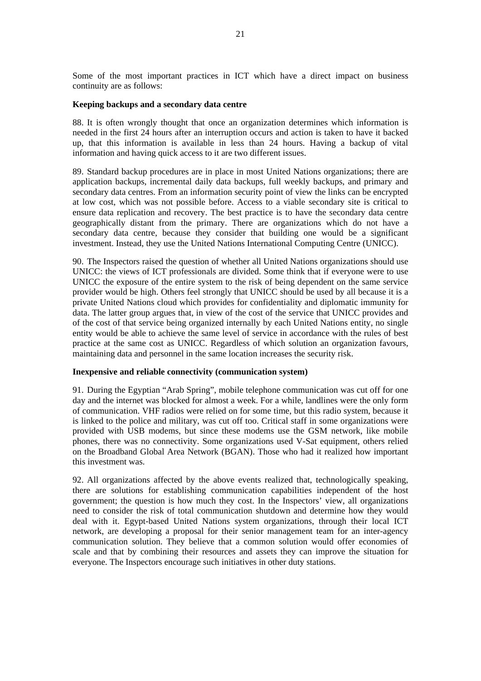Some of the most important practices in ICT which have a direct impact on business continuity are as follows:

#### **Keeping backups and a secondary data centre**

88. It is often wrongly thought that once an organization determines which information is needed in the first 24 hours after an interruption occurs and action is taken to have it backed up, that this information is available in less than 24 hours. Having a backup of vital information and having quick access to it are two different issues.

89. Standard backup procedures are in place in most United Nations organizations; there are application backups, incremental daily data backups, full weekly backups, and primary and secondary data centres. From an information security point of view the links can be encrypted at low cost, which was not possible before. Access to a viable secondary site is critical to ensure data replication and recovery. The best practice is to have the secondary data centre geographically distant from the primary. There are organizations which do not have a secondary data centre, because they consider that building one would be a significant investment. Instead, they use the United Nations International Computing Centre (UNICC).

90. The Inspectors raised the question of whether all United Nations organizations should use UNICC: the views of ICT professionals are divided. Some think that if everyone were to use UNICC the exposure of the entire system to the risk of being dependent on the same service provider would be high. Others feel strongly that UNICC should be used by all because it is a private United Nations cloud which provides for confidentiality and diplomatic immunity for data. The latter group argues that, in view of the cost of the service that UNICC provides and of the cost of that service being organized internally by each United Nations entity, no single entity would be able to achieve the same level of service in accordance with the rules of best practice at the same cost as UNICC. Regardless of which solution an organization favours, maintaining data and personnel in the same location increases the security risk.

#### **Inexpensive and reliable connectivity (communication system)**

91. During the Egyptian "Arab Spring", mobile telephone communication was cut off for one day and the internet was blocked for almost a week. For a while, landlines were the only form of communication. VHF radios were relied on for some time, but this radio system, because it is linked to the police and military, was cut off too. Critical staff in some organizations were provided with USB modems, but since these modems use the GSM network, like mobile phones, there was no connectivity. Some organizations used V-Sat equipment, others relied on the Broadband Global Area Network (BGAN). Those who had it realized how important this investment was.

92. All organizations affected by the above events realized that, technologically speaking, there are solutions for establishing communication capabilities independent of the host government; the question is how much they cost. In the Inspectors' view, all organizations need to consider the risk of total communication shutdown and determine how they would deal with it. Egypt-based United Nations system organizations, through their local ICT network, are developing a proposal for their senior management team for an inter-agency communication solution. They believe that a common solution would offer economies of scale and that by combining their resources and assets they can improve the situation for everyone. The Inspectors encourage such initiatives in other duty stations.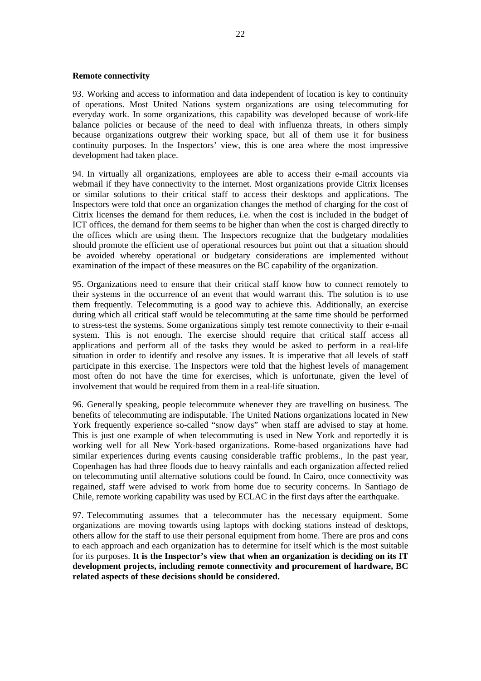## **Remote connectivity**

93. Working and access to information and data independent of location is key to continuity of operations. Most United Nations system organizations are using telecommuting for everyday work. In some organizations, this capability was developed because of work-life balance policies or because of the need to deal with influenza threats, in others simply because organizations outgrew their working space, but all of them use it for business continuity purposes. In the Inspectors' view, this is one area where the most impressive development had taken place.

94. In virtually all organizations, employees are able to access their e-mail accounts via webmail if they have connectivity to the internet. Most organizations provide Citrix licenses or similar solutions to their critical staff to access their desktops and applications. The Inspectors were told that once an organization changes the method of charging for the cost of Citrix licenses the demand for them reduces, i.e. when the cost is included in the budget of ICT offices, the demand for them seems to be higher than when the cost is charged directly to the offices which are using them. The Inspectors recognize that the budgetary modalities should promote the efficient use of operational resources but point out that a situation should be avoided whereby operational or budgetary considerations are implemented without examination of the impact of these measures on the BC capability of the organization.

95. Organizations need to ensure that their critical staff know how to connect remotely to their systems in the occurrence of an event that would warrant this. The solution is to use them frequently. Telecommuting is a good way to achieve this. Additionally, an exercise during which all critical staff would be telecommuting at the same time should be performed to stress-test the systems. Some organizations simply test remote connectivity to their e-mail system. This is not enough. The exercise should require that critical staff access all applications and perform all of the tasks they would be asked to perform in a real-life situation in order to identify and resolve any issues. It is imperative that all levels of staff participate in this exercise. The Inspectors were told that the highest levels of management most often do not have the time for exercises, which is unfortunate, given the level of involvement that would be required from them in a real-life situation.

96. Generally speaking, people telecommute whenever they are travelling on business. The benefits of telecommuting are indisputable. The United Nations organizations located in New York frequently experience so-called "snow days" when staff are advised to stay at home. This is just one example of when telecommuting is used in New York and reportedly it is working well for all New York-based organizations. Rome-based organizations have had similar experiences during events causing considerable traffic problems., In the past year, Copenhagen has had three floods due to heavy rainfalls and each organization affected relied on telecommuting until alternative solutions could be found. In Cairo, once connectivity was regained, staff were advised to work from home due to security concerns. In Santiago de Chile, remote working capability was used by ECLAC in the first days after the earthquake.

97. Telecommuting assumes that a telecommuter has the necessary equipment. Some organizations are moving towards using laptops with docking stations instead of desktops, others allow for the staff to use their personal equipment from home. There are pros and cons to each approach and each organization has to determine for itself which is the most suitable for its purposes. **It is the Inspector's view that when an organization is deciding on its IT development projects, including remote connectivity and procurement of hardware, BC related aspects of these decisions should be considered.**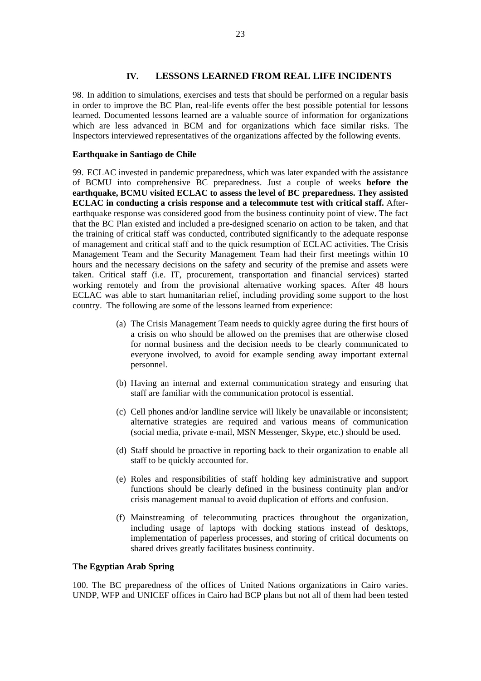## **IV. LESSONS LEARNED FROM REAL LIFE INCIDENTS**

98. In addition to simulations, exercises and tests that should be performed on a regular basis in order to improve the BC Plan, real-life events offer the best possible potential for lessons learned. Documented lessons learned are a valuable source of information for organizations which are less advanced in BCM and for organizations which face similar risks. The Inspectors interviewed representatives of the organizations affected by the following events.

## **Earthquake in Santiago de Chile**

99. ECLAC invested in pandemic preparedness, which was later expanded with the assistance of BCMU into comprehensive BC preparedness. Just a couple of weeks **before the earthquake, BCMU visited ECLAC to assess the level of BC preparedness. They assisted ECLAC in conducting a crisis response and a telecommute test with critical staff.** Afterearthquake response was considered good from the business continuity point of view. The fact that the BC Plan existed and included a pre-designed scenario on action to be taken, and that the training of critical staff was conducted, contributed significantly to the adequate response of management and critical staff and to the quick resumption of ECLAC activities. The Crisis Management Team and the Security Management Team had their first meetings within 10 hours and the necessary decisions on the safety and security of the premise and assets were taken. Critical staff (i.e. IT, procurement, transportation and financial services) started working remotely and from the provisional alternative working spaces. After 48 hours ECLAC was able to start humanitarian relief, including providing some support to the host country. The following are some of the lessons learned from experience:

- (a) The Crisis Management Team needs to quickly agree during the first hours of a crisis on who should be allowed on the premises that are otherwise closed for normal business and the decision needs to be clearly communicated to everyone involved, to avoid for example sending away important external personnel.
- (b) Having an internal and external communication strategy and ensuring that staff are familiar with the communication protocol is essential.
- (c) Cell phones and/or landline service will likely be unavailable or inconsistent; alternative strategies are required and various means of communication (social media, private e-mail, MSN Messenger, Skype, etc.) should be used.
- (d) Staff should be proactive in reporting back to their organization to enable all staff to be quickly accounted for.
- (e) Roles and responsibilities of staff holding key administrative and support functions should be clearly defined in the business continuity plan and/or crisis management manual to avoid duplication of efforts and confusion.
- (f) Mainstreaming of telecommuting practices throughout the organization, including usage of laptops with docking stations instead of desktops, implementation of paperless processes, and storing of critical documents on shared drives greatly facilitates business continuity.

## **The Egyptian Arab Spring**

100. The BC preparedness of the offices of United Nations organizations in Cairo varies. UNDP, WFP and UNICEF offices in Cairo had BCP plans but not all of them had been tested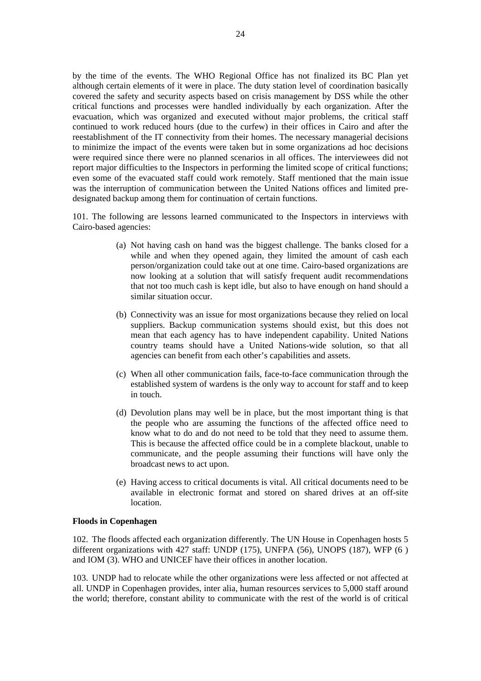by the time of the events. The WHO Regional Office has not finalized its BC Plan yet although certain elements of it were in place. The duty station level of coordination basically covered the safety and security aspects based on crisis management by DSS while the other critical functions and processes were handled individually by each organization. After the evacuation, which was organized and executed without major problems, the critical staff continued to work reduced hours (due to the curfew) in their offices in Cairo and after the reestablishment of the IT connectivity from their homes. The necessary managerial decisions to minimize the impact of the events were taken but in some organizations ad hoc decisions were required since there were no planned scenarios in all offices. The interviewees did not report major difficulties to the Inspectors in performing the limited scope of critical functions; even some of the evacuated staff could work remotely. Staff mentioned that the main issue was the interruption of communication between the United Nations offices and limited predesignated backup among them for continuation of certain functions.

101. The following are lessons learned communicated to the Inspectors in interviews with Cairo-based agencies:

- (a) Not having cash on hand was the biggest challenge. The banks closed for a while and when they opened again, they limited the amount of cash each person/organization could take out at one time. Cairo-based organizations are now looking at a solution that will satisfy frequent audit recommendations that not too much cash is kept idle, but also to have enough on hand should a similar situation occur.
- (b) Connectivity was an issue for most organizations because they relied on local suppliers. Backup communication systems should exist, but this does not mean that each agency has to have independent capability. United Nations country teams should have a United Nations-wide solution, so that all agencies can benefit from each other's capabilities and assets.
- (c) When all other communication fails, face-to-face communication through the established system of wardens is the only way to account for staff and to keep in touch.
- (d) Devolution plans may well be in place, but the most important thing is that the people who are assuming the functions of the affected office need to know what to do and do not need to be told that they need to assume them. This is because the affected office could be in a complete blackout, unable to communicate, and the people assuming their functions will have only the broadcast news to act upon.
- (e) Having access to critical documents is vital. All critical documents need to be available in electronic format and stored on shared drives at an off-site location.

#### **Floods in Copenhagen**

102. The floods affected each organization differently. The UN House in Copenhagen hosts 5 different organizations with 427 staff: UNDP (175), UNFPA (56), UNOPS (187), WFP (6 ) and IOM (3). WHO and UNICEF have their offices in another location.

103. UNDP had to relocate while the other organizations were less affected or not affected at all. UNDP in Copenhagen provides, inter alia, human resources services to 5,000 staff around the world; therefore, constant ability to communicate with the rest of the world is of critical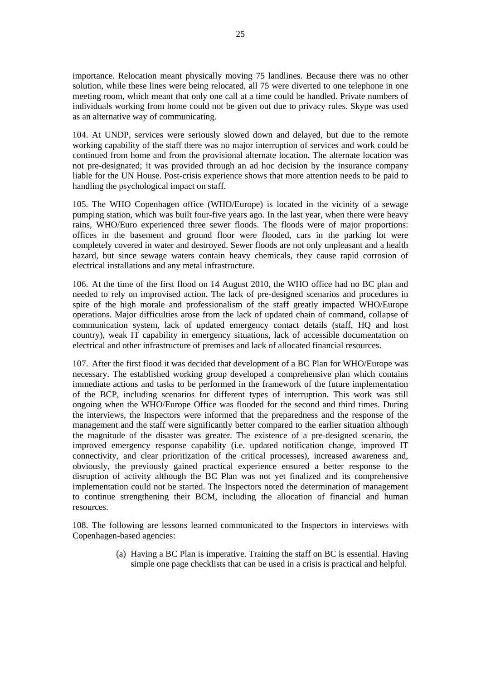importance. Relocation meant physically moving 75 landlines. Because there was no other solution, while these lines were being relocated, all 75 were diverted to one telephone in one meeting room, which meant that only one call at a time could be handled. Private numbers of individuals working from home could not be given out due to privacy rules. Skype was used as an alternative way of communicating.

104. At UNDP, services were seriously slowed down and delayed, but due to the remote working capability of the staff there was no major interruption of services and work could be continued from home and from the provisional alternate location. The alternate location was not pre-designated; it was provided through an ad hoc decision by the insurance company liable for the UN House. Post-crisis experience shows that more attention needs to be paid to handling the psychological impact on staff.

105. The WHO Copenhagen office (WHO/Europe) is located in the vicinity of a sewage pumping station, which was built four-five years ago. In the last year, when there were heavy rains, WHO/Euro experienced three sewer floods. The floods were of major proportions: offices in the basement and ground floor were flooded, cars in the parking lot were completely covered in water and destroyed. Sewer floods are not only unpleasant and a health hazard, but since sewage waters contain heavy chemicals, they cause rapid corrosion of electrical installations and any metal infrastructure.

106. At the time of the first flood on 14 August 2010, the WHO office had no BC plan and needed to rely on improvised action. The lack of pre-designed scenarios and procedures in spite of the high morale and professionalism of the staff greatly impacted WHO/Europe operations. Major difficulties arose from the lack of updated chain of command, collapse of communication system, lack of updated emergency contact details (staff, HQ and host country), weak IT capability in emergency situations, lack of accessible documentation on electrical and other infrastructure of premises and lack of allocated financial resources.

107. After the first flood it was decided that development of a BC Plan for WHO/Europe was necessary. The established working group developed a comprehensive plan which contains immediate actions and tasks to be performed in the framework of the future implementation of the BCP, including scenarios for different types of interruption. This work was still ongoing when the WHO/Europe Office was flooded for the second and third times. During the interviews, the Inspectors were informed that the preparedness and the response of the management and the staff were significantly better compared to the earlier situation although the magnitude of the disaster was greater. The existence of a pre-designed scenario, the improved emergency response capability (i.e. updated notification change, improved IT connectivity, and clear prioritization of the critical processes), increased awareness and, obviously, the previously gained practical experience ensured a better response to the disruption of activity although the BC Plan was not yet finalized and its comprehensive implementation could not be started. The Inspectors noted the determination of management to continue strengthening their BCM, including the allocation of financial and human resources.

108. The following are lessons learned communicated to the Inspectors in interviews with Copenhagen-based agencies:

> (a) Having a BC Plan is imperative. Training the staff on BC is essential. Having simple one page checklists that can be used in a crisis is practical and helpful.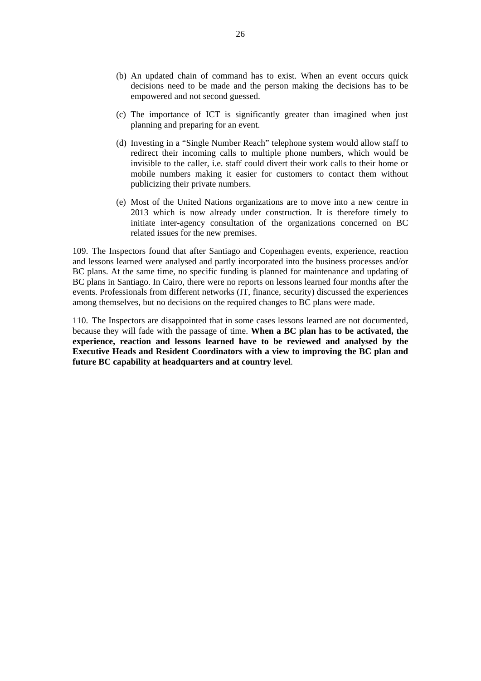- (b) An updated chain of command has to exist. When an event occurs quick decisions need to be made and the person making the decisions has to be empowered and not second guessed.
- (c) The importance of ICT is significantly greater than imagined when just planning and preparing for an event.
- (d) Investing in a "Single Number Reach" telephone system would allow staff to redirect their incoming calls to multiple phone numbers, which would be invisible to the caller, i.e. staff could divert their work calls to their home or mobile numbers making it easier for customers to contact them without publicizing their private numbers.
- (e) Most of the United Nations organizations are to move into a new centre in 2013 which is now already under construction. It is therefore timely to initiate inter-agency consultation of the organizations concerned on BC related issues for the new premises.

109. The Inspectors found that after Santiago and Copenhagen events, experience, reaction and lessons learned were analysed and partly incorporated into the business processes and/or BC plans. At the same time, no specific funding is planned for maintenance and updating of BC plans in Santiago. In Cairo, there were no reports on lessons learned four months after the events. Professionals from different networks (IT, finance, security) discussed the experiences among themselves, but no decisions on the required changes to BC plans were made.

110. The Inspectors are disappointed that in some cases lessons learned are not documented, because they will fade with the passage of time. **When a BC plan has to be activated, the experience, reaction and lessons learned have to be reviewed and analysed by the Executive Heads and Resident Coordinators with a view to improving the BC plan and future BC capability at headquarters and at country level**.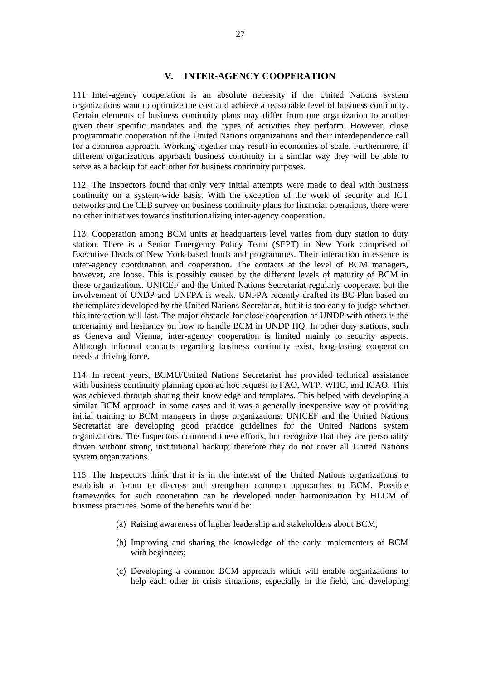## **V. INTER-AGENCY COOPERATION**

111. Inter-agency cooperation is an absolute necessity if the United Nations system organizations want to optimize the cost and achieve a reasonable level of business continuity. Certain elements of business continuity plans may differ from one organization to another given their specific mandates and the types of activities they perform. However, close programmatic cooperation of the United Nations organizations and their interdependence call for a common approach. Working together may result in economies of scale. Furthermore, if different organizations approach business continuity in a similar way they will be able to serve as a backup for each other for business continuity purposes.

112. The Inspectors found that only very initial attempts were made to deal with business continuity on a system-wide basis. With the exception of the work of security and ICT networks and the CEB survey on business continuity plans for financial operations, there were no other initiatives towards institutionalizing inter-agency cooperation.

113. Cooperation among BCM units at headquarters level varies from duty station to duty station. There is a Senior Emergency Policy Team (SEPT) in New York comprised of Executive Heads of New York-based funds and programmes. Their interaction in essence is inter-agency coordination and cooperation. The contacts at the level of BCM managers, however, are loose. This is possibly caused by the different levels of maturity of BCM in these organizations. UNICEF and the United Nations Secretariat regularly cooperate, but the involvement of UNDP and UNFPA is weak. UNFPA recently drafted its BC Plan based on the templates developed by the United Nations Secretariat, but it is too early to judge whether this interaction will last. The major obstacle for close cooperation of UNDP with others is the uncertainty and hesitancy on how to handle BCM in UNDP HQ. In other duty stations, such as Geneva and Vienna, inter-agency cooperation is limited mainly to security aspects. Although informal contacts regarding business continuity exist, long-lasting cooperation needs a driving force.

114. In recent years, BCMU/United Nations Secretariat has provided technical assistance with business continuity planning upon ad hoc request to FAO, WFP, WHO, and ICAO. This was achieved through sharing their knowledge and templates. This helped with developing a similar BCM approach in some cases and it was a generally inexpensive way of providing initial training to BCM managers in those organizations. UNICEF and the United Nations Secretariat are developing good practice guidelines for the United Nations system organizations. The Inspectors commend these efforts, but recognize that they are personality driven without strong institutional backup; therefore they do not cover all United Nations system organizations.

115. The Inspectors think that it is in the interest of the United Nations organizations to establish a forum to discuss and strengthen common approaches to BCM. Possible frameworks for such cooperation can be developed under harmonization by HLCM of business practices. Some of the benefits would be:

- (a) Raising awareness of higher leadership and stakeholders about BCM;
- (b) Improving and sharing the knowledge of the early implementers of BCM with beginners;
- (c) Developing a common BCM approach which will enable organizations to help each other in crisis situations, especially in the field, and developing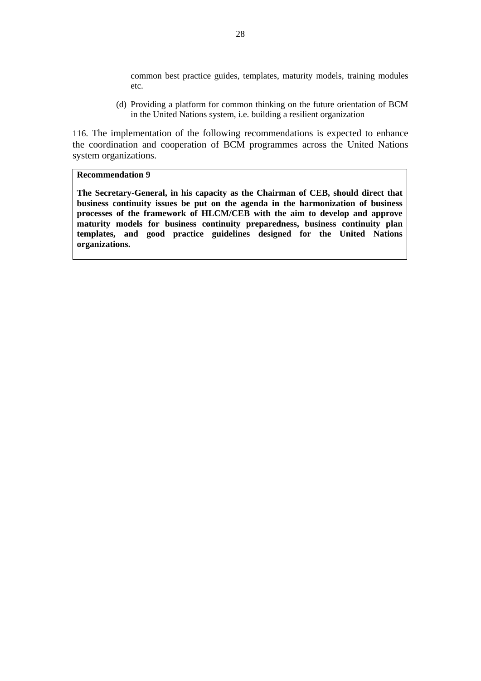common best practice guides, templates, maturity models, training modules etc.

(d) Providing a platform for common thinking on the future orientation of BCM in the United Nations system, i.e. building a resilient organization

116. The implementation of the following recommendations is expected to enhance the coordination and cooperation of BCM programmes across the United Nations system organizations.

## **Recommendation 9**

**The Secretary-General, in his capacity as the Chairman of CEB, should direct that business continuity issues be put on the agenda in the harmonization of business processes of the framework of HLCM/CEB with the aim to develop and approve maturity models for business continuity preparedness, business continuity plan templates, and good practice guidelines designed for the United Nations organizations.**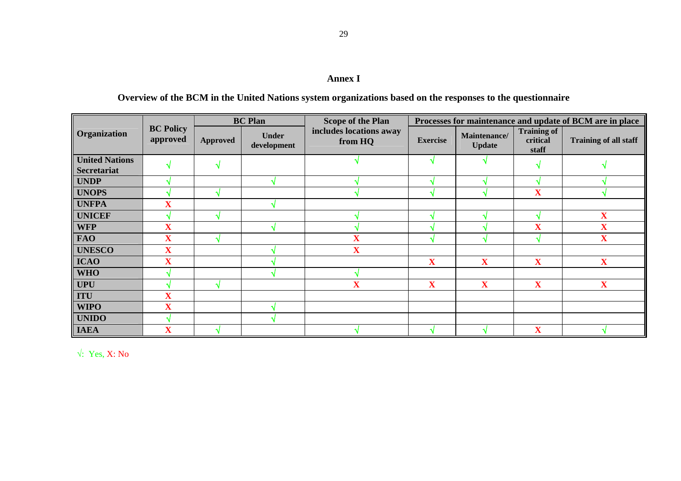## **Annex I**

## **Overview of the BCM in the United Nations system organizations based on the responses to the questionnaire**

|                       |                              |                 | <b>BC</b> Plan              | <b>Scope of the Plan</b>           | Processes for maintenance and update of BCM are in place |                               |                                         |                              |  |  |  |  |  |  |
|-----------------------|------------------------------|-----------------|-----------------------------|------------------------------------|----------------------------------------------------------|-------------------------------|-----------------------------------------|------------------------------|--|--|--|--|--|--|
| Organization          | <b>BC Policy</b><br>approved | <b>Approved</b> | <b>Under</b><br>development | includes locations away<br>from HQ | <b>Exercise</b>                                          | Maintenance/<br><b>Update</b> | <b>Training of</b><br>critical<br>staff | <b>Training of all staff</b> |  |  |  |  |  |  |
| <b>United Nations</b> |                              |                 |                             |                                    |                                                          |                               |                                         |                              |  |  |  |  |  |  |
| <b>Secretariat</b>    |                              |                 |                             |                                    |                                                          |                               |                                         |                              |  |  |  |  |  |  |
| <b>UNDP</b>           |                              |                 |                             |                                    | $\triangleleft$                                          |                               |                                         |                              |  |  |  |  |  |  |
| <b>UNOPS</b>          |                              |                 |                             |                                    |                                                          |                               | $\overline{\mathbf{X}}$                 |                              |  |  |  |  |  |  |
| <b>UNFPA</b>          | $\overline{\mathbf{X}}$      |                 |                             |                                    |                                                          |                               |                                         |                              |  |  |  |  |  |  |
| <b>UNICEF</b>         |                              |                 |                             |                                    |                                                          |                               |                                         | $\mathbf{X}$                 |  |  |  |  |  |  |
| <b>WFP</b>            | $\overline{\mathbf{X}}$      |                 |                             |                                    |                                                          |                               | $\overline{\mathbf{X}}$                 | $\mathbf X$                  |  |  |  |  |  |  |
| <b>FAO</b>            | $\overline{\mathbf{X}}$      |                 |                             |                                    |                                                          |                               |                                         | $\mathbf X$                  |  |  |  |  |  |  |
| <b>UNESCO</b>         | $\overline{\mathbf{X}}$      |                 |                             | $\overline{\mathbf{X}}$            |                                                          |                               |                                         |                              |  |  |  |  |  |  |
| <b>ICAO</b>           | $\overline{\mathbf{X}}$      |                 |                             |                                    | X                                                        | $\mathbf{X}$                  | $\mathbf X$                             | $\mathbf{X}$                 |  |  |  |  |  |  |
| <b>WHO</b>            |                              |                 |                             |                                    |                                                          |                               |                                         |                              |  |  |  |  |  |  |
| <b>UPU</b>            |                              |                 |                             | л                                  | X                                                        | $\mathbf X$                   | $\overline{\mathbf{X}}$                 | $\mathbf X$                  |  |  |  |  |  |  |
| <b>ITU</b>            | $\overline{\mathbf{X}}$      |                 |                             |                                    |                                                          |                               |                                         |                              |  |  |  |  |  |  |
| <b>WIPO</b>           | $\overline{\mathbf{X}}$      |                 |                             |                                    |                                                          |                               |                                         |                              |  |  |  |  |  |  |
| <b>UNIDO</b>          |                              |                 |                             |                                    |                                                          |                               |                                         |                              |  |  |  |  |  |  |
| <b>IAEA</b>           | $\overline{\mathbf{X}}$      |                 |                             |                                    |                                                          |                               | $\overline{\mathbf{X}}$                 |                              |  |  |  |  |  |  |

√: Yes, X: No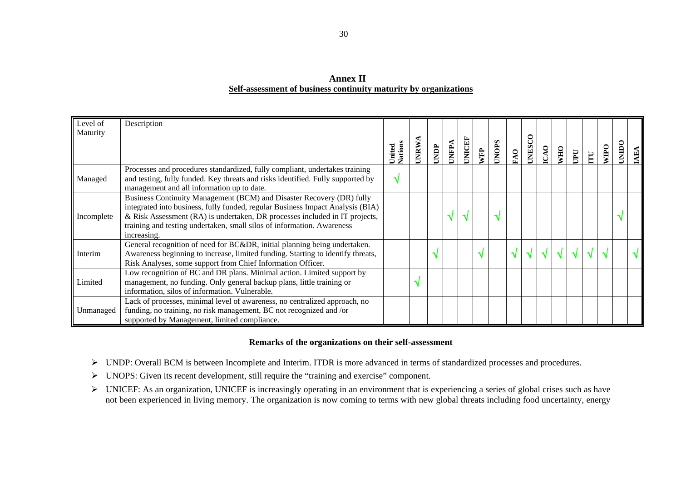## **Annex II Self-assessment of business continuity maturity by organizations**

| Level of   | Description                                                                     |                   |       |      |              |        |     |              |     |      |              |            |   |                         |             |              |            |
|------------|---------------------------------------------------------------------------------|-------------------|-------|------|--------------|--------|-----|--------------|-----|------|--------------|------------|---|-------------------------|-------------|--------------|------------|
| Maturity   |                                                                                 |                   |       |      |              |        |     |              |     |      |              |            |   |                         |             |              |            |
|            |                                                                                 |                   |       |      |              |        |     |              |     |      |              |            |   |                         |             |              |            |
|            |                                                                                 | United<br>Nations | UNRW. | UNDP | <b>UNFPA</b> | UNICEF | WFP | <b>UNOPS</b> | FAO | UNES | $\mathbf{S}$ | <b>OHM</b> | U | $\overline{\mathbf{H}}$ | <b>NILO</b> | <b>UNIDO</b> | $E\Lambda$ |
|            | Processes and procedures standardized, fully compliant, undertakes training     |                   |       |      |              |        |     |              |     |      |              |            |   |                         |             |              |            |
| Managed    | and testing, fully funded. Key threats and risks identified. Fully supported by | N                 |       |      |              |        |     |              |     |      |              |            |   |                         |             |              |            |
|            | management and all information up to date.                                      |                   |       |      |              |        |     |              |     |      |              |            |   |                         |             |              |            |
|            | Business Continuity Management (BCM) and Disaster Recovery (DR) fully           |                   |       |      |              |        |     |              |     |      |              |            |   |                         |             |              |            |
|            | integrated into business, fully funded, regular Business Impact Analysis (BIA)  |                   |       |      |              |        |     |              |     |      |              |            |   |                         |             |              |            |
| Incomplete | & Risk Assessment (RA) is undertaken, DR processes included in IT projects,     |                   |       |      |              |        |     | N            |     |      |              |            |   |                         |             |              |            |
|            | training and testing undertaken, small silos of information. Awareness          |                   |       |      |              |        |     |              |     |      |              |            |   |                         |             |              |            |
|            | increasing.                                                                     |                   |       |      |              |        |     |              |     |      |              |            |   |                         |             |              |            |
|            | General recognition of need for BC&DR, initial planning being undertaken.       |                   |       |      |              |        |     |              |     |      |              |            |   |                         |             |              |            |
| Interim    | Awareness beginning to increase, limited funding. Starting to identify threats, |                   |       |      |              |        |     |              |     |      |              |            |   |                         |             |              |            |
|            | Risk Analyses, some support from Chief Information Officer.                     |                   |       |      |              |        |     |              |     |      |              |            |   |                         |             |              |            |
|            | Low recognition of BC and DR plans. Minimal action. Limited support by          |                   |       |      |              |        |     |              |     |      |              |            |   |                         |             |              |            |
| Limited    | management, no funding. Only general backup plans, little training or           |                   | اله   |      |              |        |     |              |     |      |              |            |   |                         |             |              |            |
|            | information, silos of information. Vulnerable.                                  |                   |       |      |              |        |     |              |     |      |              |            |   |                         |             |              |            |
|            | Lack of processes, minimal level of awareness, no centralized approach, no      |                   |       |      |              |        |     |              |     |      |              |            |   |                         |             |              |            |
| Unmanaged  | funding, no training, no risk management, BC not recognized and /or             |                   |       |      |              |        |     |              |     |      |              |            |   |                         |             |              |            |
|            | supported by Management, limited compliance.                                    |                   |       |      |              |        |     |              |     |      |              |            |   |                         |             |              |            |

## **Remarks of the organizations on their self-assessment**

- ¾ UNDP: Overall BCM is between Incomplete and Interim. ITDR is more advanced in terms of standardized processes and procedures.
- $\triangleright$  UNOPS: Given its recent development, still require the "training and exercise" component.
- $\triangleright$  UNICEF: As an organization, UNICEF is increasingly operating in an environment that is experiencing a series of global crises such as have not been experienced in living memory. The organization is now coming to terms with new global threats including food uncertainty, energy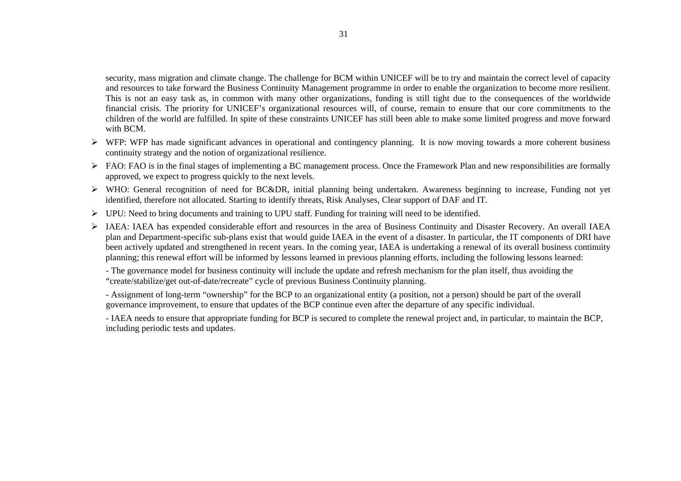security, mass migration and climate change. The challenge for BCM within UNICEF will be to try and maintain the correct level of capacity and resources to take forward the Business Continuity Management programme in order to enable the organization to become more resilient. This is not an easy task as, in common with many other organizations, funding is still tight due to the consequences of the worldwide financial crisis. The priority for UNICEF's organizational resources will, of course, remain to ensure that our core commitments to the children of the world are fulfilled. In spite of these constraints UNICEF has still been able to make some limited progress and move forward with BCM.

- $\triangleright$  WFP: WFP has made significant advances in operational and contingency planning. It is now moving towards a more coherent business continuity strategy and the notion of organizational resilience.
- $\triangleright$  FAO: FAO is in the final stages of implementing a BC management process. Once the Framework Plan and new responsibilities are formally approved, we expect to progress quickly to the next levels.
- ¾ WHO: General recognition of need for BC&DR, initial planning being undertaken. Awareness beginning to increase, Funding not yet identified, therefore not allocated. Starting to identify threats, Risk Analyses, Clear support of DAF and IT.
- $\triangleright$  UPU: Need to bring documents and training to UPU staff. Funding for training will need to be identified.
- ¾ IAEA: IAEA has expended considerable effort and resources in the area of Business Continuity and Disaster Recovery. An overall IAEA plan and Department-specific sub-plans exist that would guide IAEA in the event of a disaster. In particular, the IT components of DRI have been actively updated and strengthened in recent years. In the coming year, IAEA is undertaking a renewal of its overall business continuity planning; this renewal effort will be informed by lessons learned in previous planning efforts, including the following lessons learned:

- The governance model for business continuity will include the update and refresh mechanism for the plan itself, thus avoiding the "create/stabilize/get out-of-date/recreate" cycle of previous Business Continuity planning.

- Assignment of long-term "ownership" for the BCP to an organizational entity (a position, not a person) should be part of the overall governance improvement, to ensure that updates of the BCP continue even after the departure of any specific individual.

- IAEA needs to ensure that appropriate funding for BCP is secured to complete the renewal project and, in particular, to maintain the BCP, including periodic tests and updates.